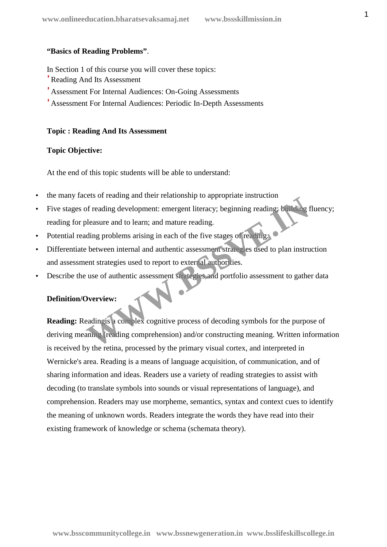#### **"Basics of Reading Problems"**.

In Section 1 of this course you will cover these topics:

- Reading And Its Assessment
- Assessment For Internal Audiences: On-Going Assessments
- Assessment For Internal Audiences: Periodic In-Depth Assessments

#### **Topic : Reading And Its Assessment**

# **Topic Objective:**

At the end of this topic students will be able to understand:

- the many facets of reading and their relationship to appropriate instruction
- Five stages of reading development: emergent literacy; beginning reading; building fluency; reading for pleasure and to learn; and mature reading.
- Potential reading problems arising in each of the five stages of reading.
- Differentiate between internal and authentic assessment strategies used to plan instruction and assessment strategies used to report to external authorities.
- Describe the use of authentic assessment strategies and portfolio assessment to gather data

# **Definition/Overview:**

**Reading:** Readingis a complex cognitive process of decoding symbols for the purpose of deriving meaning (reading comprehension) and/or constructing meaning. Written information is received by the retina, processed by the primary visual cortex, and interpreted in Wernicke's area. Reading is a means of language acquisition, of communication, and of sharing information and ideas. Readers use a variety of reading strategies to assist with decoding (to translate symbols into sounds or visual representations of language), and comprehension. Readers may use morpheme, semantics, syntax and context cues to identify the meaning of unknown words. Readers integrate the words they have read into their existing framework of knowledge or schema (schemata theory). Exercis of reading and their relationship to appropriate installation<br>of reading development: emergent literacy; beginning reading: building<br>pleasure and to learn; and mature reading.<br>between internal and authentic assessm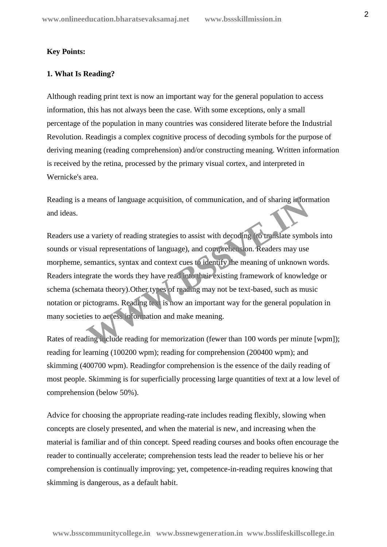# **Key Points:**

#### **1. What Is Reading?**

Although reading print text is now an important way for the general population to access information, this has not always been the case. With some exceptions, only a small percentage of the population in many countries was considered literate before the Industrial Revolution. Readingis a complex cognitive process of decoding symbols for the purpose of deriving meaning (reading comprehension) and/or constructing meaning. Written information is received by the retina, processed by the primary visual cortex, and interpreted in Wernicke's area.

Reading is a means of language acquisition, of communication, and of sharing information and ideas.

Readers use a variety of reading strategies to assist with decoding (to translate symbols into sounds or visual representations of language), and comprehension. Readers may use morpheme, semantics, syntax and context cues to identify the meaning of unknown words. Readers integrate the words they have read into their existing framework of knowledge or schema (schemata theory).Other types of reading may not be text-based, such as music notation or pictograms. Reading text is now an important way for the general population in many societies to access information and make meaning. means of language acquisition, of communication, and of sharing inform<br>a variety of reading strategies to assist with decoding to translate symbols<br>and representations of language), and comprehension. Readers may use<br>seman

Rates of reading include reading for memorization (fewer than 100 words per minute [wpm]); reading for learning (100200 wpm); reading for comprehension (200400 wpm); and skimming (400700 wpm). Readingfor comprehension is the essence of the daily reading of most people. Skimming is for superficially processing large quantities of text at a low level of comprehension (below 50%).

Advice for choosing the appropriate reading-rate includes reading flexibly, slowing when concepts are closely presented, and when the material is new, and increasing when the material is familiar and of thin concept. Speed reading courses and books often encourage the reader to continually accelerate; comprehension tests lead the reader to believe his or her comprehension is continually improving; yet, competence-in-reading requires knowing that skimming is dangerous, as a default habit.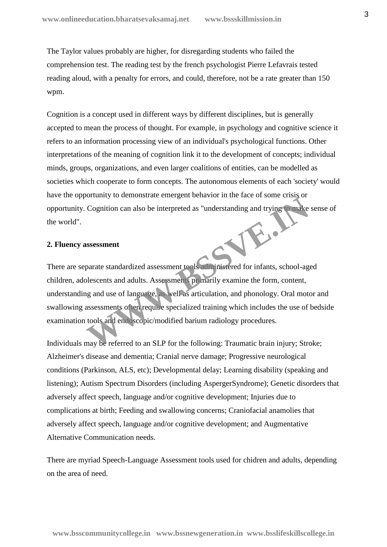The Taylor values probably are higher, for disregarding students who failed the comprehension test. The reading test by the french psychologist Pierre Lefavrais tested reading aloud, with a penalty for errors, and could, therefore, not be a rate greater than 150 wpm.

Cognition is a concept used in different ways by different disciplines, but is generally accepted to mean the process of thought. For example, in psychology and cognitive science it refers to an information processing view of an individual's psychological functions. Other interpretations of the meaning of cognition link it to the development of concepts; individual minds, groups, organizations, and even larger coalitions of entities, can be modelled as societies which cooperate to form concepts. The autonomous elements of each 'society' would have the opportunity to demonstrate emergent behavior in the face of some crisis or opportunity. Cognition can also be interpreted as "understanding and trying to make sense of the world". W.B.J

# **2. Fluency assessment**

There are separate standardized assessment tools administered for infants, school-aged children, adolescents and adults. Assessments primarily examine the form, content, understanding and use of language, as well as articulation, and phonology. Oral motor and swallowing assessments often require specialized training which includes the use of bedside examination tools and endoscopic/modified barium radiology procedures.

Individuals may be referred to an SLP for the following: Traumatic brain injury; Stroke; Alzheimer's disease and dementia; Cranial nerve damage; Progressive neurological conditions (Parkinson, ALS, etc); Developmental delay; Learning disability (speaking and listening); Autism Spectrum Disorders (including AspergerSyndrome); Genetic disorders that adversely affect speech, language and/or cognitive development; Injuries due to complications at birth; Feeding and swallowing concerns; Craniofacial anamolies that adversely affect speech, language and/or cognitive development; and Augmentative Alternative Communication needs.

There are myriad Speech-Language Assessment tools used for chidren and adults, depending on the area of need.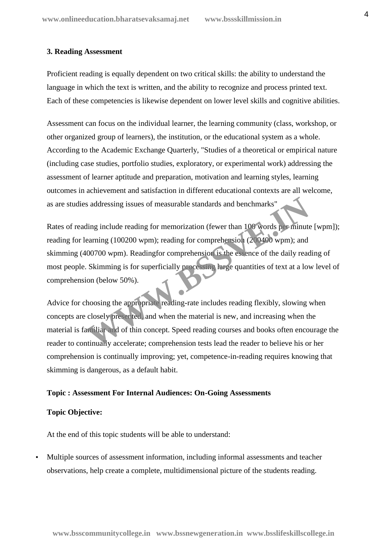# **3. Reading Assessment**

Proficient reading is equally dependent on two critical skills: the ability to understand the language in which the text is written, and the ability to recognize and process printed text. Each of these competencies is likewise dependent on lower level skills and cognitive abilities.

Assessment can focus on the individual learner, the learning community (class, workshop, or other organized group of learners), the institution, or the educational system as a whole. According to the Academic Exchange Quarterly, "Studies of a theoretical or empirical nature (including case studies, portfolio studies, exploratory, or experimental work) addressing the assessment of learner aptitude and preparation, motivation and learning styles, learning outcomes in achievement and satisfaction in different educational contexts are all welcome, as are studies addressing issues of measurable standards and benchmarks"

Rates of reading include reading for memorization (fewer than 100 words per minute [wpm]); reading for learning (100200 wpm); reading for comprehension (200400 wpm); and skimming (400700 wpm). Readingfor comprehension is the essence of the daily reading of most people. Skimming is for superficially processing large quantities of text at a low level of comprehension (below 50%). Substitute and the standards and benchmarks"<br>
ing include reading for memorization (fewer than 100 words perminute<br>
earning (100200 wpm); reading for comprehension (200400 wpm); and<br>
00700 wpm). Readingfor comprehension is

Advice for choosing the appropriate reading-rate includes reading flexibly, slowing when concepts are closely presented, and when the material is new, and increasing when the material is familiar and of thin concept. Speed reading courses and books often encourage the reader to continually accelerate; comprehension tests lead the reader to believe his or her comprehension is continually improving; yet, competence-in-reading requires knowing that skimming is dangerous, as a default habit.

#### **Topic : Assessment For Internal Audiences: On-Going Assessments**

# **Topic Objective:**

At the end of this topic students will be able to understand:

 Multiple sources of assessment information, including informal assessments and teacher observations, help create a complete, multidimensional picture of the students reading.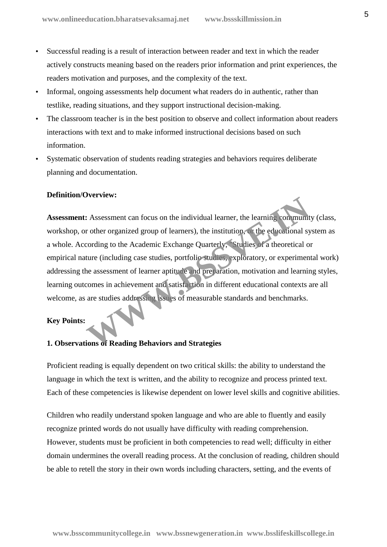- Successful reading is a result of interaction between reader and text in which the reader actively constructs meaning based on the readers prior information and print experiences, the readers motivation and purposes, and the complexity of the text.
- Informal, ongoing assessments help document what readers do in authentic, rather than testlike, reading situations, and they support instructional decision-making.
- The classroom teacher is in the best position to observe and collect information about readers interactions with text and to make informed instructional decisions based on such information.
- Systematic observation of students reading strategies and behaviors requires deliberate planning and documentation.

# **Definition/Overview:**

**Assessment:** Assessment can focus on the individual learner, the learning community (class, workshop, or other organized group of learners), the institution, or the educational system as a whole. According to the Academic Exchange Quarterly, "Studies of a theoretical or empirical nature (including case studies, portfolio studies, exploratory, or experimental work) addressing the assessment of learner aptitude and preparation, motivation and learning styles, learning outcomes in achievement and satisfaction in different educational contexts are all welcome, as are studies addressing issues of measurable standards and benchmarks. **Exercise:**<br> **WE ASSESSMENT CALC SERVING THE CONDUCTED**<br> **WE ACCOMBED TO A CONDUCT A SUPPRENT CONDUCT**<br> **WE ACCOMBED TO A CONDUCT SUPPRENT CALC SERVING TO A CONDUCT A SUPPRENT OF A SUPPRENT OF A SUPPRENT OF A SUPPRENT POSS** 

# **Key Points:**

#### **1. Observations of Reading Behaviors and Strategies**

Proficient reading is equally dependent on two critical skills: the ability to understand the language in which the text is written, and the ability to recognize and process printed text. Each of these competencies is likewise dependent on lower level skills and cognitive abilities.

Children who readily understand spoken language and who are able to fluently and easily recognize printed words do not usually have difficulty with reading comprehension. However, students must be proficient in both competencies to read well; difficulty in either domain undermines the overall reading process. At the conclusion of reading, children should be able to retell the story in their own words including characters, setting, and the events of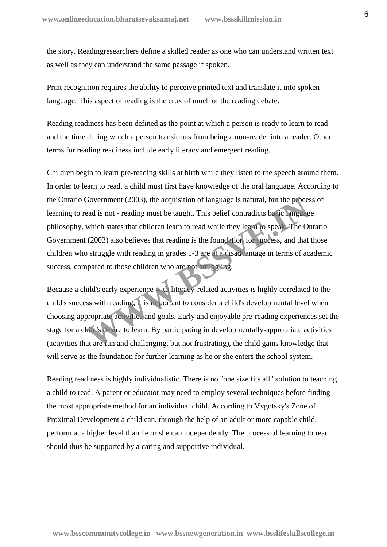the story. Readingresearchers define a skilled reader as one who can understand written text as well as they can understand the same passage if spoken.

Print recognition requires the ability to perceive printed text and translate it into spoken language. This aspect of reading is the crux of much of the reading debate.

Reading readiness has been defined as the point at which a person is ready to learn to read and the time during which a person transitions from being a non-reader into a reader. Other terms for reading readiness include early literacy and emergent reading.

Children begin to learn pre-reading skills at birth while they listen to the speech around them. In order to learn to read, a child must first have knowledge of the oral language. According to the Ontario Government (2003), the acquisition of language is natural, but the process of learning to read is not - reading must be taught. This belief contradicts basic language philosophy, which states that children learn to read while they learn to speak. The Ontario Government (2003) also believes that reading is the foundation for success, and that those children who struggle with reading in grades 1-3 are at a disadvantage in terms of academic success, compared to those children who are not struggling. Government (2003), the acquisition of language is natural, but the process<br>ead is not - reading must be taught. This belief contradicts be ic language<br>which states that children learn to read while they learn to spear. The

Because a child's early experience with literacy-related activities is highly correlated to the child's success with reading, it is important to consider a child's developmental level when choosing appropriate activities and goals. Early and enjoyable pre-reading experiences set the stage for a child's desire to learn. By participating in developmentally-appropriate activities (activities that are fun and challenging, but not frustrating), the child gains knowledge that will serve as the foundation for further learning as he or she enters the school system.

Reading readiness is highly individualistic. There is no "one size fits all" solution to teaching a child to read. A parent or educator may need to employ several techniques before finding the most appropriate method for an individual child. According to Vygotsky's Zone of Proximal Development a child can, through the help of an adult or more capable child, perform at a higher level than he or she can independently. The process of learning to read should thus be supported by a caring and supportive individual.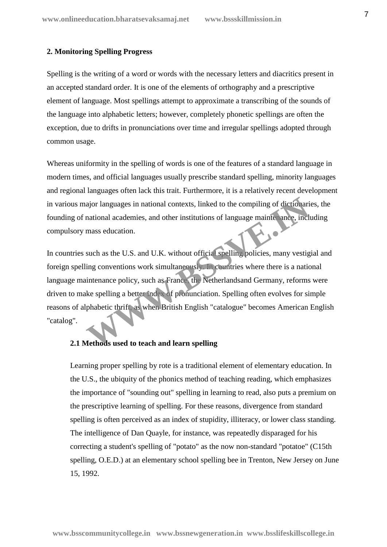# **2. Monitoring Spelling Progress**

Spelling is the writing of a word or words with the necessary letters and diacritics present in an accepted standard order. It is one of the elements of orthography and a prescriptive element of language. Most spellings attempt to approximate a transcribing of the sounds of the language into alphabetic letters; however, completely phonetic spellings are often the exception, due to drifts in pronunciations over time and irregular spellings adopted through common usage.

Whereas uniformity in the spelling of words is one of the features of a standard language in modern times, and official languages usually prescribe standard spelling, minority languages and regional languages often lack this trait. Furthermore, it is a relatively recent development in various major languages in national contexts, linked to the compiling of dictionaries, the founding of national academies, and other institutions of language maintenance, including compulsory mass education.

In countries such as the U.S. and U.K. without official spelling policies, many vestigial and foreign spelling conventions work simultaneously. In countries where there is a national language maintenance policy, such as France, the Netherlandsand Germany, reforms were driven to make spelling a better index of pronunciation. Spelling often evolves for simple reasons of alphabetic thrift, as when British English "catalogue" becomes American English "catalog". ajor languages in national contexts, linked to the compiling of dictionari<br>mational academies, and other institutions of language maintenance, incl<br>mass education.<br>such as the U.S. and U.K. without official spelling polici

# **2.1 Methods used to teach and learn spelling**

Learning proper spelling by rote is a traditional element of elementary education. In the U.S., the ubiquity of the phonics method of teaching reading, which emphasizes the importance of "sounding out" spelling in learning to read, also puts a premium on the prescriptive learning of spelling. For these reasons, divergence from standard spelling is often perceived as an index of stupidity, illiteracy, or lower class standing. The intelligence of Dan Quayle, for instance, was repeatedly disparaged for his correcting a student's spelling of "potato" as the now non-standard "potatoe" (C15th spelling, O.E.D.) at an elementary school spelling bee in Trenton, New Jersey on June 15, 1992.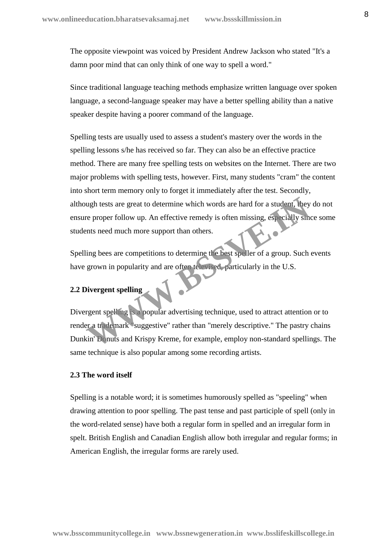The opposite viewpoint was voiced by President Andrew Jackson who stated "It's a damn poor mind that can only think of one way to spell a word."

Since traditional language teaching methods emphasize written language over spoken language, a second-language speaker may have a better spelling ability than a native speaker despite having a poorer command of the language.

Spelling tests are usually used to assess a student's mastery over the words in the spelling lessons s/he has received so far. They can also be an effective practice method. There are many free spelling tests on websites on the Internet. There are two major problems with spelling tests, however. First, many students "cram" the content into short term memory only to forget it immediately after the test. Secondly, although tests are great to determine which words are hard for a student, they do not ensure proper follow up. An effective remedy is often missing, especially since some students need much more support than others.

Spelling bees are competitions to determine the best speller of a group. Such events have grown in popularity and are often televised, particularly in the U.S.

# **2.2 Divergent spelling**

Divergent spelling is a popular advertising technique, used to attract attention or to render a trademark "suggestive" rather than "merely descriptive." The pastry chains Dunkin' Donuts and Krispy Kreme, for example, employ non-standard spellings. The same technique is also popular among some recording artists. we proper follow up. An effective remedy is often missing, especially simplest reproper follow up. An effective remedy is often missing, especially simplest and much more support than others.<br>
We see all much more support

#### **2.3 The word itself**

Spelling is a notable word; it is sometimes humorously spelled as "speeling" when drawing attention to poor spelling. The past tense and past participle of spell (only in the word-related sense) have both a regular form in spelled and an irregular form in spelt. British English and Canadian English allow both irregular and regular forms; in American English, the irregular forms are rarely used.

**www.bsscommunitycollege.in www.bssnewgeneration.in www.bsslifeskillscollege.in**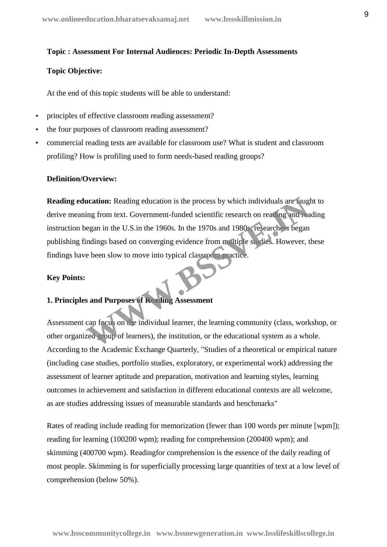#### **Topic : Assessment For Internal Audiences: Periodic In-Depth Assessments**

#### **Topic Objective:**

At the end of this topic students will be able to understand:

- principles of effective classroom reading assessment?
- the four purposes of classroom reading assessment?
- commercial reading tests are available for classroom use? What is student and classroom profiling? How is profiling used to form needs-based reading groups?

#### **Definition/Overview:**

**Reading education:** Reading education is the process by which individuals are taught to derive meaning from text. Government-funded scientific research on reading and reading instruction began in the U.S.in the 1960s. In the 1970s and 1980s, researchers began publishing findings based on converging evidence from multiple studies. However, these findings have been slow to move into typical classroom practice. **Example 18 Set of the US.** Set of the Microslav Set of the Microslav Set of the Microslav Set of the W.S. In the 1960s. In the 1970s and 1980s researchers began indings based on converging evidence from militiple studies.

#### **Key Points:**

# **1. Principles and Purposes of Reading Assessment**

Assessment can focus on the individual learner, the learning community (class, workshop, or other organized group of learners), the institution, or the educational system as a whole. According to the Academic Exchange Quarterly, "Studies of a theoretical or empirical nature (including case studies, portfolio studies, exploratory, or experimental work) addressing the assessment of learner aptitude and preparation, motivation and learning styles, learning outcomes in achievement and satisfaction in different educational contexts are all welcome, as are studies addressing issues of measurable standards and benchmarks"

Rates of reading include reading for memorization (fewer than 100 words per minute [wpm]); reading for learning (100200 wpm); reading for comprehension (200400 wpm); and skimming (400700 wpm). Readingfor comprehension is the essence of the daily reading of most people. Skimming is for superficially processing large quantities of text at a low level of comprehension (below 50%).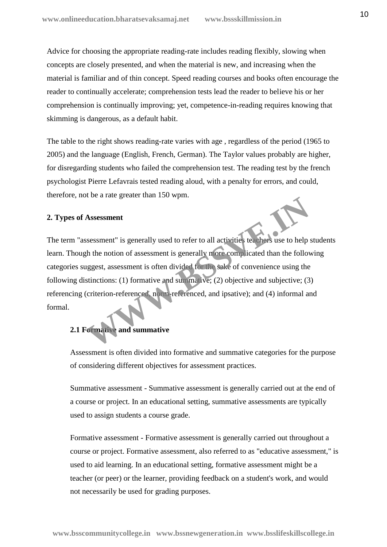Advice for choosing the appropriate reading-rate includes reading flexibly, slowing when concepts are closely presented, and when the material is new, and increasing when the material is familiar and of thin concept. Speed reading courses and books often encourage the reader to continually accelerate; comprehension tests lead the reader to believe his or her comprehension is continually improving; yet, competence-in-reading requires knowing that skimming is dangerous, as a default habit.

The table to the right shows reading-rate varies with age , regardless of the period (1965 to 2005) and the language (English, French, German). The Taylor values probably are higher, for disregarding students who failed the comprehension test. The reading test by the french psychologist Pierre Lefavrais tested reading aloud, with a penalty for errors, and could, therefore, not be a rate greater than 150 wpm.

# **2. Types of Assessment**

The term "assessment" is generally used to refer to all activities teachers use to help students learn. Though the notion of assessment is generally more complicated than the following categories suggest, assessment is often divided for the sake of convenience using the following distinctions: (1) formative and summative; (2) objective and subjective; (3) referencing (criterion-referenced, norm-referenced, and ipsative); and (4) informal and formal. Assessment is generally used to refer to all activities teachers use to help<br>th the notion of assessment is generally note complicated than the following<br>ggest, assessment is often divided for the sake of convenience using

# **2.1 Formative and summative**

Assessment is often divided into formative and summative categories for the purpose of considering different objectives for assessment practices.

Summative assessment - Summative assessment is generally carried out at the end of a course or project. In an educational setting, summative assessments are typically used to assign students a course grade.

Formative assessment - Formative assessment is generally carried out throughout a course or project. Formative assessment, also referred to as "educative assessment," is used to aid learning. In an educational setting, formative assessment might be a teacher (or peer) or the learner, providing feedback on a student's work, and would not necessarily be used for grading purposes.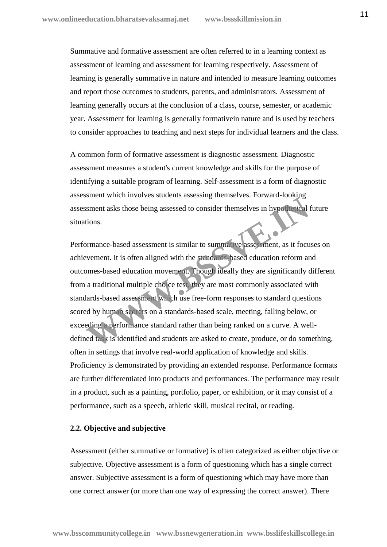Summative and formative assessment are often referred to in a learning context as assessment of learning and assessment for learning respectively. Assessment of learning is generally summative in nature and intended to measure learning outcomes and report those outcomes to students, parents, and administrators. Assessment of learning generally occurs at the conclusion of a class, course, semester, or academic year. Assessment for learning is generally formativein nature and is used by teachers to consider approaches to teaching and next steps for individual learners and the class.

A common form of formative assessment is diagnostic assessment. Diagnostic assessment measures a student's current knowledge and skills for the purpose of identifying a suitable program of learning. Self-assessment is a form of diagnostic assessment which involves students assessing themselves. Forward-looking assessment asks those being assessed to consider themselves in hypothetical future situations.

Performance-based assessment is similar to summative assessment, as it focuses on achievement. It is often aligned with the standards-based education reform and outcomes-based education movement. Though ideally they are significantly different from a traditional multiple choice test, they are most commonly associated with standards-based assessment which use free-form responses to standard questions scored by human scorers on a standards-based scale, meeting, falling below, or exceeding a performance standard rather than being ranked on a curve. A well defined task is identified and students are asked to create, produce, or do something, often in settings that involve real-world application of knowledge and skills. Proficiency is demonstrated by providing an extended response. Performance formats are further differentiated into products and performances. The performance may result in a product, such as a painting, portfolio, paper, or exhibition, or it may consist of a performance, such as a speech, athletic skill, musical recital, or reading. Solutions.<br>
Solutions.<br>
Solutions.<br>
Solutions.<br>
Solutions.<br>
Solutions.<br>
Solutions.<br>
Solutions.<br>
Solutions.<br>
It is often aligned with the standards based education reform are<br>
ment. It is often aligned with the standards ba

#### **2.2. Objective and subjective**

Assessment (either summative or formative) is often categorized as either objective or subjective. Objective assessment is a form of questioning which has a single correct answer. Subjective assessment is a form of questioning which may have more than one correct answer (or more than one way of expressing the correct answer). There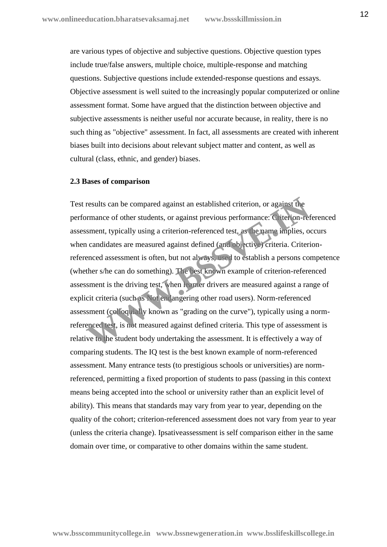are various types of objective and subjective questions. Objective question types include true/false answers, multiple choice, multiple-response and matching questions. Subjective questions include extended-response questions and essays. Objective assessment is well suited to the increasingly popular computerized or online assessment format. Some have argued that the distinction between objective and subjective assessments is neither useful nor accurate because, in reality, there is no such thing as "objective" assessment. In fact, all assessments are created with inherent biases built into decisions about relevant subject matter and content, as well as cultural (class, ethnic, and gender) biases.

#### **2.3 Bases of comparison**

Test results can be compared against an established criterion, or against the performance of other students, or against previous performance: Criterion-referenced assessment, typically using a criterion-referenced test, as the name implies, occurs when candidates are measured against defined (and objective) criteria. Criterionreferenced assessment is often, but not always, used to establish a persons competence (whether s/he can do something). The best known example of criterion-referenced assessment is the driving test, when learner drivers are measured against a range of explicit criteria (such as Not endangering other road users). Norm-referenced assessment (colloquially known as "grading on the curve"), typically using a normreferenced test, is not measured against defined criteria. This type of assessment is relative to the student body undertaking the assessment. It is effectively a way of comparing students. The IQ test is the best known example of norm-referenced assessment. Many entrance tests (to prestigious schools or universities) are normreferenced, permitting a fixed proportion of students to pass (passing in this context means being accepted into the school or university rather than an explicit level of ability). This means that standards may vary from year to year, depending on the quality of the cohort; criterion-referenced assessment does not vary from year to year (unless the criteria change). Ipsativeassessment is self comparison either in the same domain over time, or comparative to other domains within the same student. results can be compared against an established criterion, or against the ormance of other students, or against previous performance: Criterion-referenced test, as the name implies, or candidates are measured against define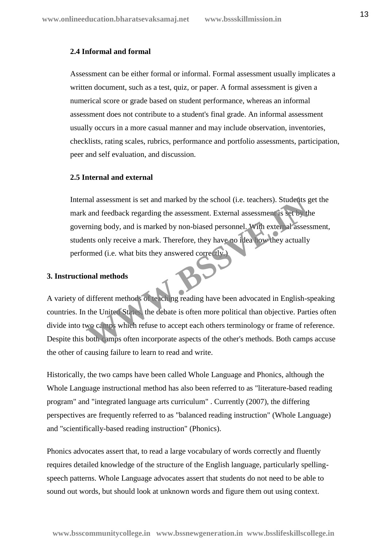# **2.4 Informal and formal**

Assessment can be either formal or informal. Formal assessment usually implicates a written document, such as a test, quiz, or paper. A formal assessment is given a numerical score or grade based on student performance, whereas an informal assessment does not contribute to a student's final grade. An informal assessment usually occurs in a more casual manner and may include observation, inventories, checklists, rating scales, rubrics, performance and portfolio assessments, participation, peer and self evaluation, and discussion.

# **2.5 Internal and external**

Internal assessment is set and marked by the school (i.e. teachers). Students get the mark and feedback regarding the assessment. External assessment is set by the governing body, and is marked by non-biased personnel. With external assessment, students only receive a mark. Therefore, they have no idea how they actually performed (i.e. what bits they answered correctly.) mal assessment is set and marked by the school (i.e. teachers). Students g<br>and feedback regarding the assessment. External assessment is set by the<br>ming body, and is marked by non-biased personnel. With external assesses<br>m

# **3. Instructional methods**

A variety of different methods of teaching reading have been advocated in English-speaking countries. In the United States, the debate is often more political than objective. Parties often divide into two camps which refuse to accept each others terminology or frame of reference. Despite this both camps often incorporate aspects of the other's methods. Both camps accuse the other of causing failure to learn to read and write.

Historically, the two camps have been called Whole Language and Phonics, although the Whole Language instructional method has also been referred to as "literature-based reading program" and "integrated language arts curriculum" . Currently (2007), the differing perspectives are frequently referred to as "balanced reading instruction" (Whole Language) and "scientifically-based reading instruction" (Phonics).

Phonics advocates assert that, to read a large vocabulary of words correctly and fluently requires detailed knowledge of the structure of the English language, particularly spelling speech patterns. Whole Language advocates assert that students do not need to be able to sound out words, but should look at unknown words and figure them out using context.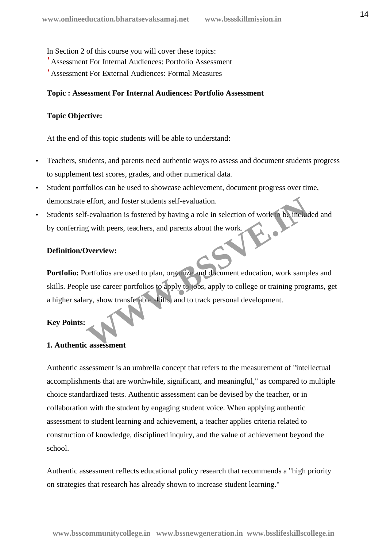In Section 2 of this course you will cover these topics:

- Assessment For Internal Audiences: Portfolio Assessment
- Assessment For External Audiences: Formal Measures

# **Topic : Assessment For Internal Audiences: Portfolio Assessment**

# **Topic Objective:**

At the end of this topic students will be able to understand:

- Teachers, students, and parents need authentic ways to assess and document students progress to supplement test scores, grades, and other numerical data.
- Student portfolios can be used to showcase achievement, document progress over time, demonstrate effort, and foster students self-evaluation.
- Students self-evaluation is fostered by having a role in selection of work to be included and by conferring with peers, teachers, and parents about the work.

# **Definition/Overview:**

**Portfolio:** Portfolios are used to plan, organize and document education, work samples and skills. People use career portfolios to apply to jobs, apply to college or training programs, get a higher salary, show transferable skills, and to track personal development. effort, and foster students self-evaluation.<br> **E-evaluation** is fostered by having a role in selection of work to be included<br>
g with peers, teachers, and parents about the work.<br> **OVERVIEW:**<br> **OVERVIEW:**<br> **OVERVIEW:**<br> **OV** 

# **Key Points:**

# **1. Authentic assessment**

Authentic assessment is an umbrella concept that refers to the measurement of "intellectual accomplishments that are worthwhile, significant, and meaningful," as compared to multiple choice standardized tests. Authentic assessment can be devised by the teacher, or in collaboration with the student by engaging student voice. When applying authentic assessment to student learning and achievement, a teacher applies criteria related to construction of knowledge, disciplined inquiry, and the value of achievement beyond the school.

Authentic assessment reflects educational policy research that recommends a "high priority on strategies that research has already shown to increase student learning."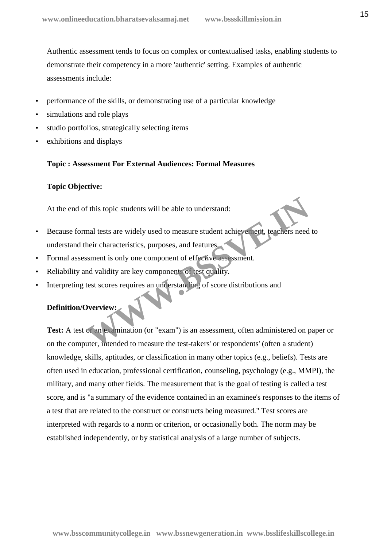Authentic assessment tends to focus on complex or contextualised tasks, enabling students to demonstrate their competency in a more 'authentic' setting. Examples of authentic assessments include:

- performance of the skills, or demonstrating use of a particular knowledge
- simulations and role plays
- studio portfolios, strategically selecting items
- exhibitions and displays

#### **Topic : Assessment For External Audiences: Formal Measures**

#### **Topic Objective:**

At the end of this topic students will be able to understand:

- Because formal tests are widely used to measure student achievement, teachers need to understand their characteristics, purposes, and features. This topic students will be able to understand:<br>
mal tests are widely used to measure student achievened, teachers need<br>
heir characteristics, purposes, and features.<br>
Siment is only one component of effective assessment.<br>
- Formal assessment is only one component of effective assessment.
- Reliability and validity are key components of test quality.
- Interpreting test scores requires an understanding of score distributions and

# **Definition/Overview:**

**Test:** A test or an examination (or "exam") is an assessment, often administered on paper or on the computer, intended to measure the test-takers' or respondents' (often a student) knowledge, skills, aptitudes, or classification in many other topics (e.g., beliefs). Tests are often used in education, professional certification, counseling, psychology (e.g., MMPI), the military, and many other fields. The measurement that is the goal of testing is called a test score, and is "a summary of the evidence contained in an examinee's responses to the items of a test that are related to the construct or constructs being measured." Test scores are interpreted with regards to a norm or criterion, or occasionally both. The norm may be established independently, or by statistical analysis of a large number of subjects.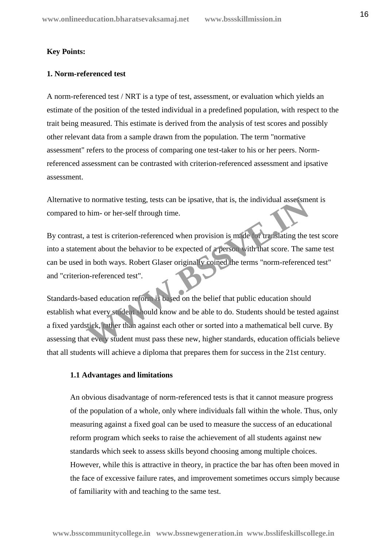# **Key Points:**

# **1. Norm-referenced test**

A norm-referenced test / NRT is a type of test, assessment, or evaluation which yields an estimate of the position of the tested individual in a predefined population, with respect to the trait being measured. This estimate is derived from the analysis of test scores and possibly other relevant data from a sample drawn from the population. The term "normative assessment" refers to the process of comparing one test-taker to his or her peers. Normreferenced assessment can be contrasted with criterion-referenced assessment and ipsative assessment.

Alternative to normative testing, tests can be ipsative, that is, the individual assessment is compared to him- or her-self through time.

By contrast, a test is criterion-referenced when provision is made for translating the test score into a statement about the behavior to be expected of a person with that score. The same test can be used in both ways. Robert Glaser originally coined the terms "norm-referenced test" and "criterion-referenced test".

Standards-based education reform is based on the belief that public education should establish what every student should know and be able to do. Students should be tested against a fixed yardstick, rather than against each other or sorted into a mathematical bell curve. By assessing that every student must pass these new, higher standards, education officials believe that all students will achieve a diploma that prepares them for success in the 21st century. o normative testing, tests can be ipsative, that is, the individual assessme<br>
him- or her-self through time.<br>
a test is criterion-referenced when provision is made for translating the<br>
tent about the behavior to be expecte

#### **1.1 Advantages and limitations**

An obvious disadvantage of norm-referenced tests is that it cannot measure progress of the population of a whole, only where individuals fall within the whole. Thus, only measuring against a fixed goal can be used to measure the success of an educational reform program which seeks to raise the achievement of all students against new standards which seek to assess skills beyond choosing among multiple choices. However, while this is attractive in theory, in practice the bar has often been moved in the face of excessive failure rates, and improvement sometimes occurs simply because of familiarity with and teaching to the same test.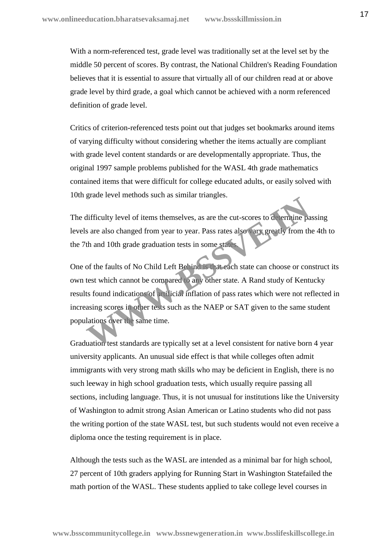With a norm-referenced test, grade level was traditionally set at the level set by the middle 50 percent of scores. By contrast, the National Children's Reading Foundation believes that it is essential to assure that virtually all of our children read at or above grade level by third grade, a goal which cannot be achieved with a norm referenced definition of grade level.

Critics of criterion-referenced tests point out that judges set bookmarks around items of varying difficulty without considering whether the items actually are compliant with grade level content standards or are developmentally appropriate. Thus, the original 1997 sample problems published for the WASL 4th grade mathematics contained items that were difficult for college educated adults, or easily solved with 10th grade level methods such as similar triangles.

The difficulty level of items themselves, as are the cut-scores to determine passing levels are also changed from year to year. Pass rates also vary greatly from the 4th to the 7th and 10th grade graduation tests in some states.

One of the faults of No Child Left Behind is that each state can choose or construct its own test which cannot be compared to any other state. A Rand study of Kentucky results found indications of artificial inflation of pass rates which were not reflected in increasing scores in other tests such as the NAEP or SAT given to the same student populations over the same time. difficulty level of items themselves, as are the cut-scores to determine passes are also changed from year to year. Pass rates also vary greatly from the and 10th grade graduation tests in some states also vary greatly fro

Graduation test standards are typically set at a level consistent for native born 4 year university applicants. An unusual side effect is that while colleges often admit immigrants with very strong math skills who may be deficient in English, there is no such leeway in high school graduation tests, which usually require passing all sections, including language. Thus, it is not unusual for institutions like the University of Washington to admit strong Asian American or Latino students who did not pass the writing portion of the state WASL test, but such students would not even receive a diploma once the testing requirement is in place.

Although the tests such as the WASL are intended as a minimal bar for high school, 27 percent of 10th graders applying for Running Start in Washington Statefailed the math portion of the WASL. These students applied to take college level courses in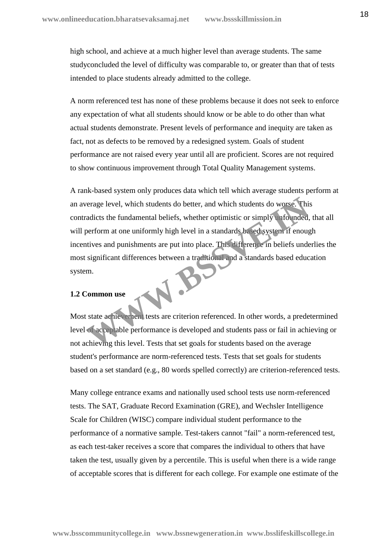high school, and achieve at a much higher level than average students. The same studyconcluded the level of difficulty was comparable to, or greater than that of tests intended to place students already admitted to the college.

A norm referenced test has none of these problems because it does not seek to enforce any expectation of what all students should know or be able to do other than what actual students demonstrate. Present levels of performance and inequity are taken as fact, not as defects to be removed by a redesigned system. Goals of student performance are not raised every year until all are proficient. Scores are not required to show continuous improvement through Total Quality Management systems.

A rank-based system only produces data which tell which average students perform at an average level, which students do better, and which students do worse. This contradicts the fundamental beliefs, whether optimistic or simply unfounded, that all will perform at one uniformly high level in a standards based system if enough incentives and punishments are put into place. This difference in beliefs underlies the most significant differences between a traditional and a standards based education system. W.B.

# **1.2 Common use**

Most state achievement tests are criterion referenced. In other words, a predetermined level of acceptable performance is developed and students pass or fail in achieving or not achieving this level. Tests that set goals for students based on the average student's performance are norm-referenced tests. Tests that set goals for students based on a set standard (e.g., 80 words spelled correctly) are criterion-referenced tests.

Many college entrance exams and nationally used school tests use norm-referenced tests. The SAT, Graduate Record Examination (GRE), and Wechsler Intelligence Scale for Children (WISC) compare individual student performance to the performance of a normative sample. Test-takers cannot "fail" a norm-referenced test, as each test-taker receives a score that compares the individual to others that have taken the test, usually given by a percentile. This is useful when there is a wide range of acceptable scores that is different for each college. For example one estimate of the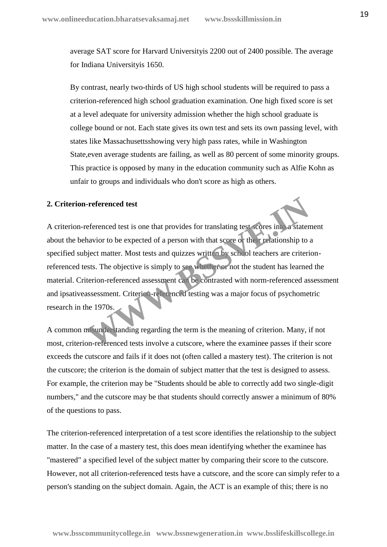average SAT score for Harvard Universityis 2200 out of 2400 possible. The average for Indiana Universityis 1650.

By contrast, nearly two-thirds of US high school students will be required to pass a criterion-referenced high school graduation examination. One high fixed score is set at a level adequate for university admission whether the high school graduate is college bound or not. Each state gives its own test and sets its own passing level, with states like Massachusettsshowing very high pass rates, while in Washington State,even average students are failing, as well as 80 percent of some minority groups. This practice is opposed by many in the education community such as Alfie Kohn as unfair to groups and individuals who don't score as high as others.

# **2. Criterion-referenced test**

A criterion-referenced test is one that provides for translating test scores into a statement about the behavior to be expected of a person with that score or their relationship to a specified subject matter. Most tests and quizzes written by school teachers are criterionreferenced tests. The objective is simply to see whether or not the student has learned the material. Criterion-referenced assessment can be contrasted with norm-referenced assessment and ipsativeassessment. Criterion-referenced testing was a major focus of psychometric research in the 1970s. **Example 1970s.**<br>
The university of the series in the series in the series of the series in the state may be expected of a person with that score of the **Fredationship** to object matter. Most tests and quizzes written by s

A common misunderstanding regarding the term is the meaning of criterion. Many, if not most, criterion-referenced tests involve a cutscore, where the examinee passes if their score exceeds the cutscore and fails if it does not (often called a mastery test). The criterion is not the cutscore; the criterion is the domain of subject matter that the test is designed to assess. For example, the criterion may be "Students should be able to correctly add two single-digit numbers," and the cutscore may be that students should correctly answer a minimum of 80% of the questions to pass.

The criterion-referenced interpretation of a test score identifies the relationship to the subject matter. In the case of a mastery test, this does mean identifying whether the examinee has "mastered" a specified level of the subject matter by comparing their score to the cutscore. However, not all criterion-referenced tests have a cutscore, and the score can simply refer to a person's standing on the subject domain. Again, the ACT is an example of this; there is no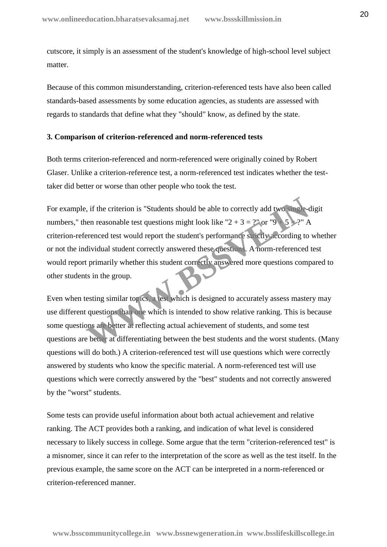cutscore, it simply is an assessment of the student's knowledge of high-school level subject matter.

Because of this common misunderstanding, criterion-referenced tests have also been called standards-based assessments by some education agencies, as students are assessed with regards to standards that define what they "should" know, as defined by the state.

#### **3. Comparison of criterion-referenced and norm-referenced tests**

Both terms criterion-referenced and norm-referenced were originally coined by Robert Glaser. Unlike a criterion-reference test, a norm-referenced test indicates whether the testtaker did better or worse than other people who took the test.

For example, if the criterion is "Students should be able to correctly add two single-digit numbers," then reasonable test questions might look like "2 + 3 =  $2$ " or "9 + criterion-referenced test would report the student's performance strictly according to whether or not the individual student correctly answered these questions. A norm-referenced test would report primarily whether this student correctly answered more questions compared to other students in the group. For the criterion is "Students should be able to correctly add two street-<br>
Here are reasonable test questions might look like "2 + 3 = ?" or "9 5 = ?" A<br>
Berenced test would report the student's performance strictly acco

Even when testing similar topics, a test which is designed to accurately assess mastery may use different questions than one which is intended to show relative ranking. This is because some questions are better at reflecting actual achievement of students, and some test questions are better at differentiating between the best students and the worst students. (Many questions will do both.) A criterion-referenced test will use questions which were correctly answered by students who know the specific material. A norm-referenced test will use questions which were correctly answered by the "best" students and not correctly answered by the "worst" students.

Some tests can provide useful information about both actual achievement and relative ranking. The ACT provides both a ranking, and indication of what level is considered necessary to likely success in college. Some argue that the term "criterion-referenced test" is a misnomer, since it can refer to the interpretation of the score as well as the test itself. In the previous example, the same score on the ACT can be interpreted in a norm-referenced or criterion-referenced manner.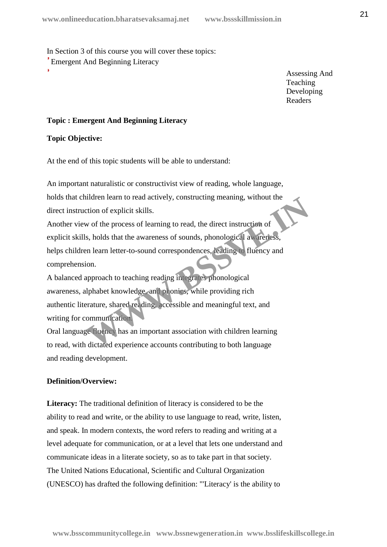In Section 3 of this course you will cover these topics: Emergent And Beginning Literacy

> Assessing And **Teaching** Developing Readers

# **Topic : Emergent And Beginning Literacy**

# **Topic Objective:**

At the end of this topic students will be able to understand:

 An important naturalistic or constructivist view of reading, whole language, holds that children learn to read actively, constructing meaning, without the direct instruction of explicit skills.

 Another view of the process of learning to read, the direct instruction of explicit skills, holds that the awareness of sounds, phonological awareness, helps children learn letter-to-sound correspondences, leading to fluency and comprehension. Final team to read actively, constructing meaning, without the<br>
totion of explicit skills.<br>
w of the process of learning to read, the direct instruction of<br>
s, holds that the awareness of sounds, phonological awareness,<br>
e

 A balanced approach to teaching reading integrates phonological awareness, alphabet knowledge, and phonics, while providing rich authentic literature, shared reading, accessible and meaningful text, and writing for communication.

 Oral language fluency has an important association with children learning to read, with dictated experience accounts contributing to both language and reading development.

# **Definition/Overview:**

**Literacy:** The traditional definition of literacy is considered to be the ability to read and write, or the ability to use language to read, write, listen, and speak. In modern contexts, the word refers to reading and writing at a level adequate for communication, or at a level that lets one understand and communicate ideas in a literate society, so as to take part in that society. The United Nations Educational, Scientific and Cultural Organization (UNESCO) has drafted the following definition: "'Literacy' is the ability to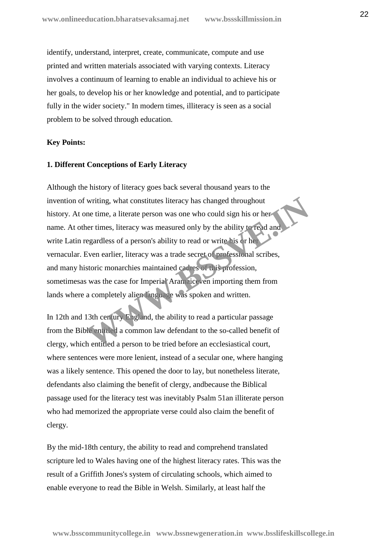identify, understand, interpret, create, communicate, compute and use printed and written materials associated with varying contexts. Literacy involves a continuum of learning to enable an individual to achieve his or her goals, to develop his or her knowledge and potential, and to participate fully in the wider society." In modern times, illiteracy is seen as a social problem to be solved through education.

#### **Key Points:**

#### **1. Different Conceptions of Early Literacy**

Although the history of literacy goes back several thousand years to the invention of writing, what constitutes literacy has changed throughout history. At one time, a literate person was one who could sign his or her name. At other times, literacy was measured only by the ability to read and write Latin regardless of a person's ability to read or write his or her vernacular. Even earlier, literacy was a trade secret of professional scribes, and many historic monarchies maintained cadres of this profession, sometimesas was the case for Imperial Aramaiceven importing them from lands where a completely alien language was spoken and written. writing, what constitutes literacy has changed throughout<br>me time, a literate person was one who could sign his or her<br>er times, literacy was measured only by the ability tread and<br>egardless of a person's ability to read o

In 12th and 13th century England, the ability to read a particular passage from the Bible entitled a common law defendant to the so-called benefit of clergy, which entitled a person to be tried before an ecclesiastical court, where sentences were more lenient, instead of a secular one, where hanging was a likely sentence. This opened the door to lay, but nonetheless literate, defendants also claiming the benefit of clergy, andbecause the Biblical passage used for the literacy test was inevitably Psalm 51an illiterate person who had memorized the appropriate verse could also claim the benefit of clergy.

By the mid-18th century, the ability to read and comprehend translated scripture led to Wales having one of the highest literacy rates. This was the result of a Griffith Jones's system of circulating schools, which aimed to enable everyone to read the Bible in Welsh. Similarly, at least half the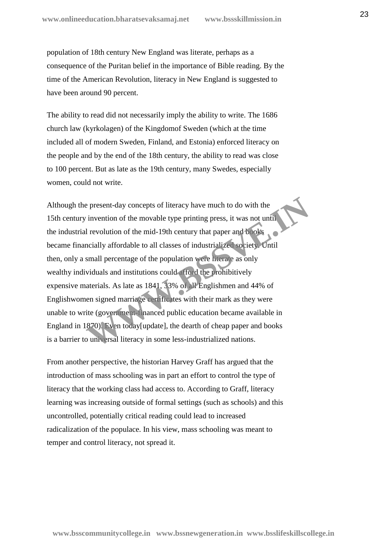population of 18th century New England was literate, perhaps as a consequence of the Puritan belief in the importance of Bible reading. By the time of the American Revolution, literacy in New England is suggested to have been around 90 percent.

The ability to read did not necessarily imply the ability to write. The 1686 church law (kyrkolagen) of the Kingdomof Sweden (which at the time included all of modern Sweden, Finland, and Estonia) enforced literacy on the people and by the end of the 18th century, the ability to read was close to 100 percent. But as late as the 19th century, many Swedes, especially women, could not write.

Although the present-day concepts of literacy have much to do with the 15th century invention of the movable type printing press, it was not until the industrial revolution of the mid-19th century that paper and books became financially affordable to all classes of industrialized society. Until then, only a small percentage of the population were literate as only wealthy individuals and institutions could afford the prohibitively expensive materials. As late as 1841, 33% of all Englishmen and 44% of Englishwomen signed marriage certificates with their mark as they were unable to write (government-financed public education became available in England in 1870). Even today[update], the dearth of cheap paper and books is a barrier to universal literacy in some less-industrialized nations. Express of literacy have much to do with the<br>invention of the movable type printing press, it was not until<br>I revolution of the mid-19th century that paper and pools<br>notially affordable to all classes of industrialized soc

From another perspective, the historian Harvey Graff has argued that the introduction of mass schooling was in part an effort to control the type of literacy that the working class had access to. According to Graff, literacy learning was increasing outside of formal settings (such as schools) and this uncontrolled, potentially critical reading could lead to increased radicalization of the populace. In his view, mass schooling was meant to temper and control literacy, not spread it.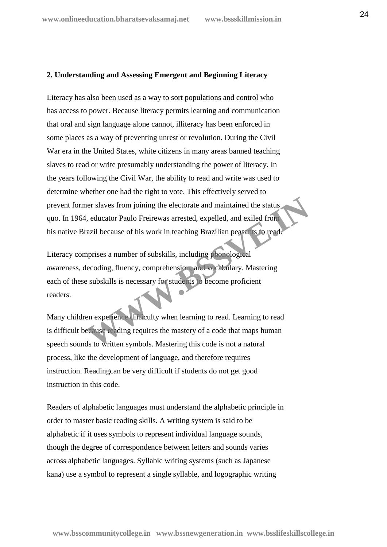## **2. Understanding and Assessing Emergent and Beginning Literacy**

Literacy has also been used as a way to sort populations and control who has access to power. Because literacy permits learning and communication that oral and sign language alone cannot, illiteracy has been enforced in some places as a way of preventing unrest or revolution. During the Civil War era in the United States, white citizens in many areas banned teaching slaves to read or write presumably understanding the power of literacy. In the years following the Civil War, the ability to read and write was used to determine whether one had the right to vote. This effectively served to prevent former slaves from joining the electorate and maintained the status quo. In 1964, educator Paulo Freirewas arrested, expelled, and exiled from his native Brazil because of his work in teaching Brazilian peasants to read.

Literacy comprises a number of subskills, including phonological awareness, decoding, fluency, comprehension, and vocabulary. Mastering each of these subskills is necessary for students to become proficient readers. The slaves from joining the electorate and maintained the status<br>
in equator Paulo Freirewas arrested, expelled, and exiled from<br>
The state of his work in teaching Brazilian peasan's to rend<br>
apprises a number of subskills

Many children experience difficulty when learning to read. Learning to read is difficult because reading requires the mastery of a code that maps human speech sounds to written symbols. Mastering this code is not a natural process, like the development of language, and therefore requires instruction. Readingcan be very difficult if students do not get good instruction in this code.

Readers of alphabetic languages must understand the alphabetic principle in order to master basic reading skills. A writing system is said to be alphabetic if it uses symbols to represent individual language sounds, though the degree of correspondence between letters and sounds varies across alphabetic languages. Syllabic writing systems (such as Japanese kana) use a symbol to represent a single syllable, and logographic writing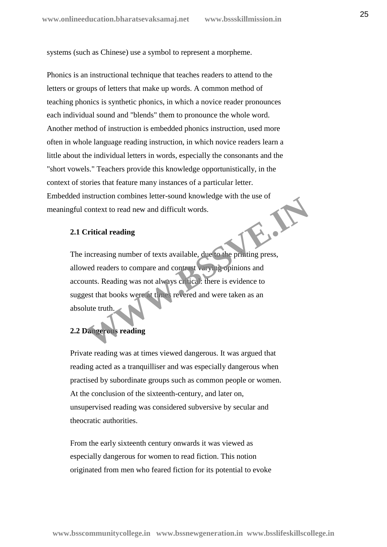systems (such as Chinese) use a symbol to represent a morpheme.

Phonics is an instructional technique that teaches readers to attend to the letters or groups of letters that make up words. A common method of teaching phonics is synthetic phonics, in which a novice reader pronounces each individual sound and "blends" them to pronounce the whole word. Another method of instruction is embedded phonics instruction, used more often in whole language reading instruction, in which novice readers learn a little about the individual letters in words, especially the consonants and the "short vowels." Teachers provide this knowledge opportunistically, in the context of stories that feature many instances of a particular letter. Embedded instruction combines letter-sound knowledge with the use of<br>meaningful context to read new and difficult words.<br>2.1 Critical reading meaningful context to read new and difficult words.

# **2.1 Critical reading**

The increasing number of texts available, due to the printing press, allowed readers to compare and contrast varying opinions and accounts. Reading was not always critical: there is evidence to suggest that books were at times revered and were taken as an absolute truth. Existencial confidence is the setter-sound knowledge with the use of<br>context to read new and difficult words.<br>Tritical reading<br>increasing number of texts available, due to the printing press,<br>wed readers to compare and con

# **2.2 Dangerous reading**

Private reading was at times viewed dangerous. It was argued that reading acted as a tranquilliser and was especially dangerous when practised by subordinate groups such as common people or women. At the conclusion of the sixteenth-century, and later on, unsupervised reading was considered subversive by secular and theocratic authorities.

From the early sixteenth century onwards it was viewed as especially dangerous for women to read fiction. This notion originated from men who feared fiction for its potential to evoke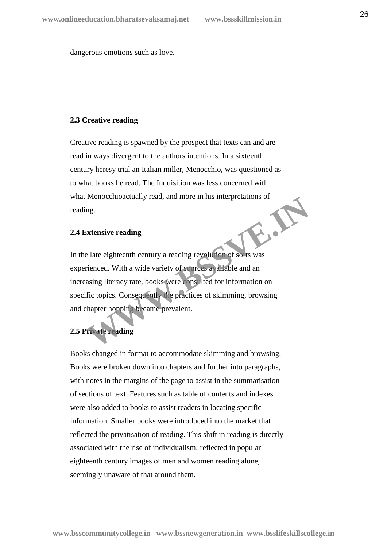dangerous emotions such as love.

#### **2.3 Creative reading**

Creative reading is spawned by the prospect that texts can and are read in ways divergent to the authors intentions. In a sixteenth century heresy trial an Italian miller, Menocchio, was questioned as to what books he read. The Inquisition was less concerned with what Menocchioactually read, and more in his interpretations of reading. **WWW.BSSVE.IN**

# **2.4 Extensive reading**

In the late eighteenth century a reading revolution of sorts was experienced. With a wide variety of sources available and an increasing literacy rate, books were consulted for information on specific topics. Consequently the practices of skimming, browsing and chapter hopping became prevalent.

# **2.5 Private reading**

Books changed in format to accommodate skimming and browsing. Books were broken down into chapters and further into paragraphs, with notes in the margins of the page to assist in the summarisation of sections of text. Features such as table of contents and indexes were also added to books to assist readers in locating specific information. Smaller books were introduced into the market that reflected the privatisation of reading. This shift in reading is directly associated with the rise of individualism; reflected in popular eighteenth century images of men and women reading alone, seemingly unaware of that around them.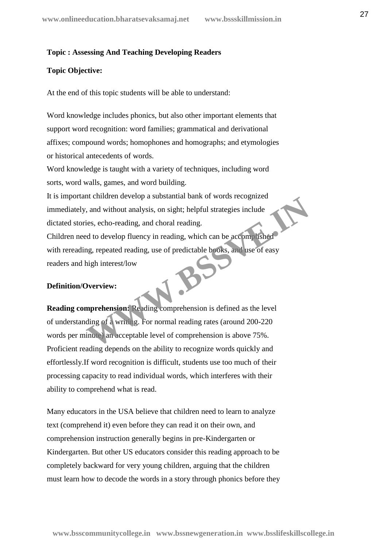#### **Topic : Assessing And Teaching Developing Readers**

#### **Topic Objective:**

At the end of this topic students will be able to understand:

 Word knowledge includes phonics, but also other important elements that support word recognition: word families; grammatical and derivational affixes; compound words; homophones and homographs; and etymologies or historical antecedents of words.

 Word knowledge is taught with a variety of techniques, including word sorts, word walls, games, and word building.

 It is important children develop a substantial bank of words recognized immediately, and without analysis, on sight; helpful strategies include dictated stories, echo-reading, and choral reading.

 Children need to develop fluency in reading, which can be accomplished with rereading, repeated reading, use of predictable books, and use of easy readers and high interest/low

#### **Definition/Overview:**

**Reading comprehension:** Reading comprehension is defined as the level of understanding of a writing. For normal reading rates (around 200-220 words per minute) an acceptable level of comprehension is above 75%. Proficient reading depends on the ability to recognize words quickly and effortlessly.If word recognition is difficult, students use too much of their processing capacity to read individual words, which interferes with their ability to comprehend what is read. The university and state and state and state is a complished<br>ies, echo-reading, and choral reading.<br>d to develop fluency in reading, which can be accomplished<br>and to develop fluency in reading, which can be accomplished<br>an

Many educators in the USA believe that children need to learn to analyze text (comprehend it) even before they can read it on their own, and comprehension instruction generally begins in pre-Kindergarten or Kindergarten. But other US educators consider this reading approach to be completely backward for very young children, arguing that the children must learn how to decode the words in a story through phonics before they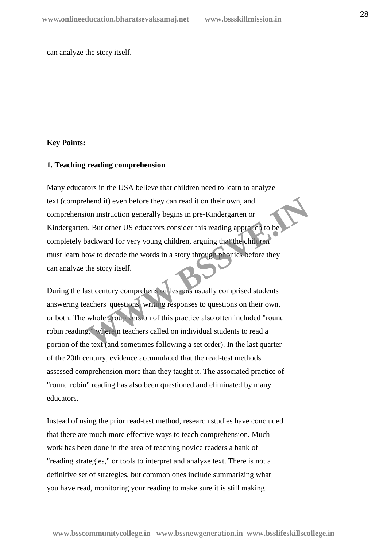can analyze the story itself.

#### **Key Points:**

#### **1. Teaching reading comprehension**

Many educators in the USA believe that children need to learn to analyze text (comprehend it) even before they can read it on their own, and comprehension instruction generally begins in pre-Kindergarten or Kindergarten. But other US educators consider this reading approach to be completely backward for very young children, arguing that the children must learn how to decode the words in a story through phonics before they can analyze the story itself. thend it) even before they can read it on their own, and<br>
ion instruction generally begins in pre-Kindergarten or<br>
1. But other US educators consider this reading approach to be<br>
backward for very young children, arguing t

During the last century comprehension lessons usually comprised students answering teachers' questions, writing responses to questions on their own, or both. The whole group version of this practice also often included "round robin reading," wherein teachers called on individual students to read a portion of the text (and sometimes following a set order). In the last quarter of the 20th century, evidence accumulated that the read-test methods assessed comprehension more than they taught it. The associated practice of "round robin" reading has also been questioned and eliminated by many educators.

Instead of using the prior read-test method, research studies have concluded that there are much more effective ways to teach comprehension. Much work has been done in the area of teaching novice readers a bank of "reading strategies," or tools to interpret and analyze text. There is not a definitive set of strategies, but common ones include summarizing what you have read, monitoring your reading to make sure it is still making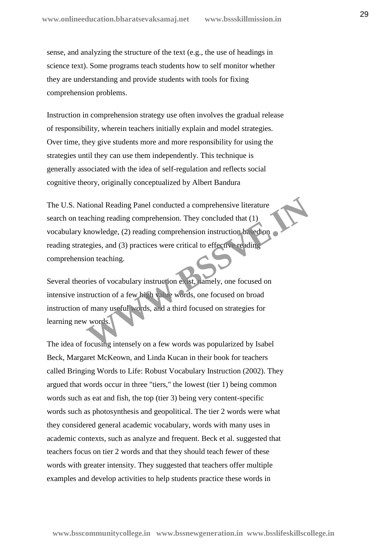sense, and analyzing the structure of the text (e.g., the use of headings in science text). Some programs teach students how to self monitor whether they are understanding and provide students with tools for fixing comprehension problems.

Instruction in comprehension strategy use often involves the gradual release of responsibility, wherein teachers initially explain and model strategies. Over time, they give students more and more responsibility for using the strategies until they can use them independently. This technique is generally associated with the idea of self-regulation and reflects social cognitive theory, originally conceptualized by Albert Bandura

The U.S. National Reading Panel conducted a comprehensive literature search on teaching reading comprehension. They concluded that  $(1)$ . vocabulary knowledge, (2) reading comprehension instruction based on reading strategies, and (3) practices were critical to effective reading comprehension teaching. tional Reading Panel conducted a comprehensive literature<br>aching reading comprehension. They concluded that (1)<br>mowledge, (2) reading comprehension instruction based on<br>egies, and (3) practices were critical to effective r

Several theories of vocabulary instruction exist, namely, one focused on intensive instruction of a few high value words, one focused on broad instruction of many useful words, and a third focused on strategies for learning new words.

The idea of focusing intensely on a few words was popularized by Isabel Beck, Margaret McKeown, and Linda Kucan in their book for teachers called Bringing Words to Life: Robust Vocabulary Instruction (2002). They argued that words occur in three "tiers," the lowest (tier 1) being common words such as eat and fish, the top (tier 3) being very content-specific words such as photosynthesis and geopolitical. The tier 2 words were what they considered general academic vocabulary, words with many uses in academic contexts, such as analyze and frequent. Beck et al. suggested that teachers focus on tier 2 words and that they should teach fewer of these words with greater intensity. They suggested that teachers offer multiple examples and develop activities to help students practice these words in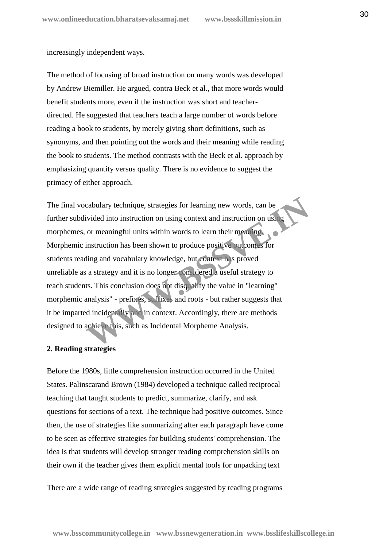increasingly independent ways.

The method of focusing of broad instruction on many words was developed by Andrew Biemiller. He argued, contra Beck et al., that more words would benefit students more, even if the instruction was short and teacher directed. He suggested that teachers teach a large number of words before reading a book to students, by merely giving short definitions, such as synonyms, and then pointing out the words and their meaning while reading the book to students. The method contrasts with the Beck et al. approach by emphasizing quantity versus quality. There is no evidence to suggest the primacy of either approach.

The final vocabulary technique, strategies for learning new words, can be further subdivided into instruction on using context and instruction on using morphemes, or meaningful units within words to learn their meaning. Morphemic instruction has been shown to produce positive outcomes for students reading and vocabulary knowledge, but context has proved unreliable as a strategy and it is no longer considered a useful strategy to teach students. This conclusion does not disqualify the value in "learning" morphemic analysis" - prefixes, suffixes and roots - but rather suggests that it be imparted incidentally and in context. Accordingly, there are methods designed to achieve this, such as Incidental Morpheme Analysis. cabulary technique, strategies for learning new words, can be<br>
ivided into instruction on using context and instruction on using<br>
or meaningful units within words to learn their meaning<br>
instruction has been shown to produ

# **2. Reading strategies**

Before the 1980s, little comprehension instruction occurred in the United States. Palinscarand Brown (1984) developed a technique called reciprocal teaching that taught students to predict, summarize, clarify, and ask questions for sections of a text. The technique had positive outcomes. Since then, the use of strategies like summarizing after each paragraph have come to be seen as effective strategies for building students' comprehension. The idea is that students will develop stronger reading comprehension skills on their own if the teacher gives them explicit mental tools for unpacking text

There are a wide range of reading strategies suggested by reading programs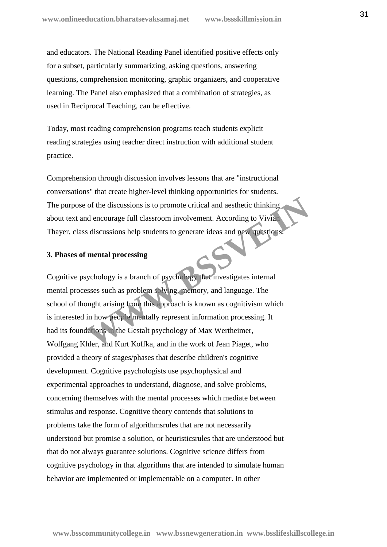and educators. The National Reading Panel identified positive effects only for a subset, particularly summarizing, asking questions, answering questions, comprehension monitoring, graphic organizers, and cooperative learning. The Panel also emphasized that a combination of strategies, as used in Reciprocal Teaching, can be effective.

Today, most reading comprehension programs teach students explicit reading strategies using teacher direct instruction with additional student practice.

Comprehension through discussion involves lessons that are "instructional conversations" that create higher-level thinking opportunities for students. The purpose of the discussions is to promote critical and aesthetic thinking about text and encourage full classroom involvement. According to Vivian Thayer, class discussions help students to generate ideas and new questions.

# **3. Phases of mental processing**

Cognitive psychology is a branch of psychology that investigates internal mental processes such as problem solving, memory, and language. The school of thought arising from this approach is known as cognitivism which is interested in how people mentally represent information processing. It had its foundations in the Gestalt psychology of Max Wertheimer, Wolfgang Khler, and Kurt Koffka, and in the work of Jean Piaget, who provided a theory of stages/phases that describe children's cognitive development. Cognitive psychologists use psychophysical and experimental approaches to understand, diagnose, and solve problems, concerning themselves with the mental processes which mediate between stimulus and response. Cognitive theory contends that solutions to problems take the form of algorithmsrules that are not necessarily understood but promise a solution, or heuristicsrules that are understood but that do not always guarantee solutions. Cognitive science differs from cognitive psychology in that algorithms that are intended to simulate human behavior are implemented or implementable on a computer. In other of the discussions is to promote critical and aesthetic thinking<br>ad encourage full classroom involvement. According to Vivian<br>s discussions help students to generate ideas and new substitutes.<br>**We substitute the method of**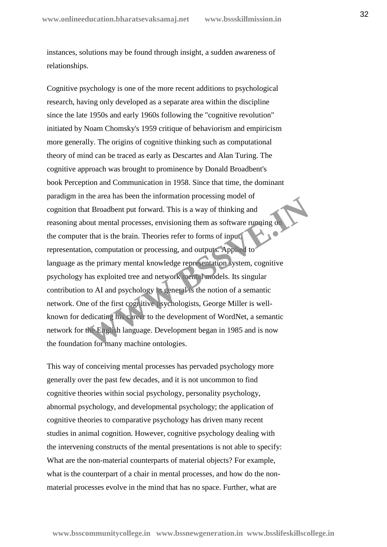instances, solutions may be found through insight, a sudden awareness of relationships.

Cognitive psychology is one of the more recent additions to psychological research, having only developed as a separate area within the discipline since the late 1950s and early 1960s following the "cognitive revolution" initiated by Noam Chomsky's 1959 critique of behaviorism and empiricism more generally. The origins of cognitive thinking such as computational theory of mind can be traced as early as Descartes and Alan Turing. The cognitive approach was brought to prominence by Donald Broadbent's book Perception and Communication in 1958. Since that time, the dominant paradigm in the area has been the information processing model of cognition that Broadbent put forward. This is a way of thinking and reasoning about mental processes, envisioning them as software running on the computer that is the brain. Theories refer to forms of input, representation, computation or processing, and outputs. Applied to language as the primary mental knowledge representation system, cognitive psychology has exploited tree and network mental models. Its singular contribution to AI and psychology in general is the notion of a semantic network. One of the first cognitive psychologists, George Miller is well known for dedicating his career to the development of WordNet, a semantic network for the English language. Development began in 1985 and is now the foundation for many machine ontologies. the area has been the information processing indeer of<br>at Broadbent put forward. This is a way of thinking and<br>oout mental processes, envisioning them as software running on<br>that is the brain. Theories refer to forms of in

This way of conceiving mental processes has pervaded psychology more generally over the past few decades, and it is not uncommon to find cognitive theories within social psychology, personality psychology, abnormal psychology, and developmental psychology; the application of cognitive theories to comparative psychology has driven many recent studies in animal cognition. However, cognitive psychology dealing with the intervening constructs of the mental presentations is not able to specify: What are the non-material counterparts of material objects? For example, what is the counterpart of a chair in mental processes, and how do the non material processes evolve in the mind that has no space. Further, what are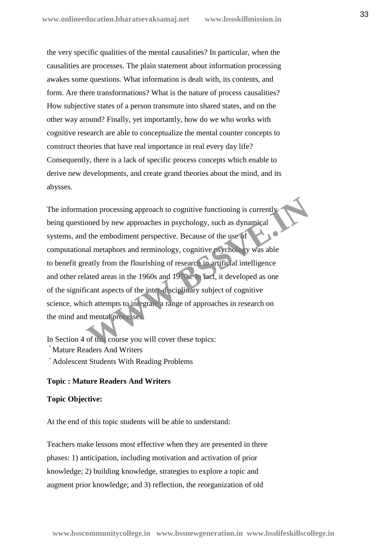the very specific qualities of the mental causalities? In particular, when the causalities are processes. The plain statement about information processing awakes some questions. What information is dealt with, its contents, and form. Are there transformations? What is the nature of process causalities? How subjective states of a person transmute into shared states, and on the other way around? Finally, yet importantly, how do we who works with cognitive research are able to conceptualize the mental counter concepts to construct theories that have real importance in real every day life? Consequently, there is a lack of specific process concepts which enable to derive new developments, and create grand theories about the mind, and its abysses.

The information processing approach to cognitive functioning is currently being questioned by new approaches in psychology, such as dynamical systems, and the embodiment perspective. Because of the use of computational metaphors and terminology, cognitive psychology was able to benefit greatly from the flourishing of research in artificial intelligence and other related areas in the 1960s and 1970s. In fact, it developed as one of the significant aspects of the inter-disciplinary subject of cognitive science, which attempts to integrate a range of approaches in research on the mind and mental processes. tion processing approach to cognitive functioning is currently<br>oned by new approaches in psychology, such as dynamical<br>the embodiment perspective. Because of the use of<br>al metaphors and terminology, cognitive psychology wa

In Section 4 of this course you will cover these topics: Mature Readers And Writers Adolescent Students With Reading Problems

#### **Topic : Mature Readers And Writers**

#### **Topic Objective:**

At the end of this topic students will be able to understand:

 Teachers make lessons most effective when they are presented in three phases: 1) anticipation, including motivation and activation of prior knowledge; 2) building knowledge, strategies to explore a topic and augment prior knowledge; and 3) reflection, the reorganization of old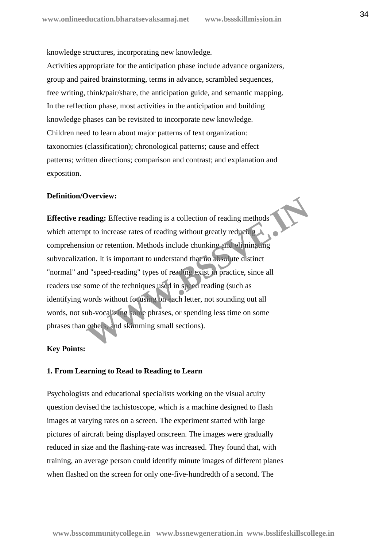knowledge structures, incorporating new knowledge. Activities appropriate for the anticipation phase include advance organizers, group and paired brainstorming, terms in advance, scrambled sequences, free writing, think/pair/share, the anticipation guide, and semantic mapping. In the reflection phase, most activities in the anticipation and building knowledge phases can be revisited to incorporate new knowledge. Children need to learn about major patterns of text organization: taxonomies (classification); chronological patterns; cause and effect patterns; written directions; comparison and contrast; and explanation and exposition.

# **Definition/Overview:**

**Effective reading:** Effective reading is a collection of reading methods which attempt to increase rates of reading without greatly reducing comprehension or retention. Methods include chunking and eliminating subvocalization. It is important to understand that no absolute distinct "normal" and "speed-reading" types of reading exist in practice, since all readers use some of the techniques used in speed reading (such as identifying words without focusing on each letter, not sounding out all words, not sub-vocalizing some phrases, or spending less time on some phrases than others, and skimming small sections). **Exercise**<br> **Exercise** External and Specifical Specifical Specifical Specifical Specifical Specifiers in the increase rates of reading without greatly reducing<br>
tion or retention. Methods include chunking and clininaling<br>

#### **Key Points:**

#### **1. From Learning to Read to Reading to Learn**

Psychologists and educational specialists working on the visual acuity question devised the tachistoscope, which is a machine designed to flash images at varying rates on a screen. The experiment started with large pictures of aircraft being displayed onscreen. The images were gradually reduced in size and the flashing-rate was increased. They found that, with training, an average person could identify minute images of different planes when flashed on the screen for only one-five-hundredth of a second. The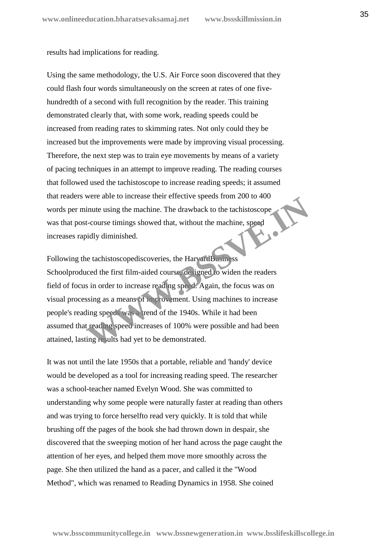results had implications for reading.

Using the same methodology, the U.S. Air Force soon discovered that they could flash four words simultaneously on the screen at rates of one five hundredth of a second with full recognition by the reader. This training demonstrated clearly that, with some work, reading speeds could be increased from reading rates to skimming rates. Not only could they be increased but the improvements were made by improving visual processing. Therefore, the next step was to train eye movements by means of a variety of pacing techniques in an attempt to improve reading. The reading courses that followed used the tachistoscope to increase reading speeds; it assumed that readers were able to increase their effective speeds from 200 to 400 words per minute using the machine. The drawback to the tachistoscope was that post-course timings showed that, without the machine, speed<br>increases rapidly diminished. increases rapidly diminished.

Following the tachistoscopediscoveries, the HarvardBusiness Schoolproduced the first film-aided course, designed to widen the readers field of focus in order to increase reading speed. Again, the focus was on visual processing as a means of improvement. Using machines to increase people's reading speeds was a trend of the 1940s. While it had been assumed that reading speed increases of 100% were possible and had been attained, lasting results had yet to be demonstrated. were able to increase then enective speeds nom 200 to 400<br>inute using the machine. The drawback to the tachistoscope<br>t-course timings showed that, without the machine, speed<br>idly diminished.<br>the tachistoscopediscoveries, t

It was not until the late 1950s that a portable, reliable and 'handy' device would be developed as a tool for increasing reading speed. The researcher was a school-teacher named Evelyn Wood. She was committed to understanding why some people were naturally faster at reading than others and was trying to force herselfto read very quickly. It is told that while brushing off the pages of the book she had thrown down in despair, she discovered that the sweeping motion of her hand across the page caught the attention of her eyes, and helped them move more smoothly across the page. She then utilized the hand as a pacer, and called it the "Wood Method", which was renamed to Reading Dynamics in 1958. She coined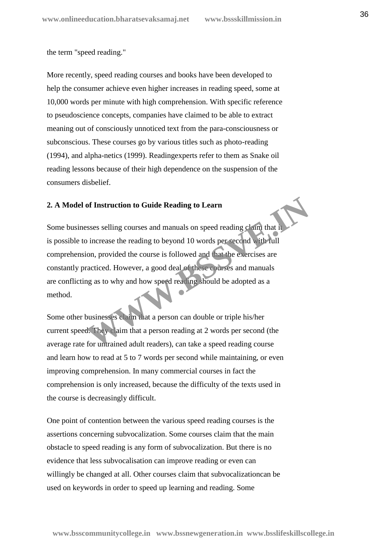the term "speed reading."

More recently, speed reading courses and books have been developed to help the consumer achieve even higher increases in reading speed, some at 10,000 words per minute with high comprehension. With specific reference to pseudoscience concepts, companies have claimed to be able to extract meaning out of consciously unnoticed text from the para-consciousness or subconscious. These courses go by various titles such as photo-reading (1994), and alpha-netics (1999). Readingexperts refer to them as Snake oil reading lessons because of their high dependence on the suspension of the consumers disbelief.

#### **2. A Model of Instruction to Guide Reading to Learn**

Some businesses selling courses and manuals on speed reading claim that it is possible to increase the reading to beyond 10 words per second with full comprehension, provided the course is followed and that the exercises are constantly practiced. However, a good deal of these courses and manuals are conflicting as to why and how speed reading should be adopted as a method. of Instruction to Guide Reading to Learn<br>
esses selling courses and manuals on speed reading claim that it<br>
b increase the reading to beyond 10 words per second with full<br>
ion, provided the course is followed and that the

Some other businesses claim that a person can double or triple his/her current speed. They claim that a person reading at 2 words per second (the average rate for untrained adult readers), can take a speed reading course and learn how to read at 5 to 7 words per second while maintaining, or even improving comprehension. In many commercial courses in fact the comprehension is only increased, because the difficulty of the texts used in the course is decreasingly difficult.

One point of contention between the various speed reading courses is the assertions concerning subvocalization. Some courses claim that the main obstacle to speed reading is any form of subvocalization. But there is no evidence that less subvocalisation can improve reading or even can willingly be changed at all. Other courses claim that subvocalizationcan be used on keywords in order to speed up learning and reading. Some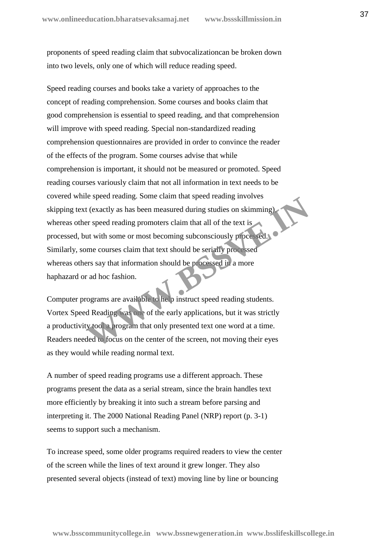proponents of speed reading claim that subvocalizationcan be broken down into two levels, only one of which will reduce reading speed.

Speed reading courses and books take a variety of approaches to the concept of reading comprehension. Some courses and books claim that good comprehension is essential to speed reading, and that comprehension will improve with speed reading. Special non-standardized reading comprehension questionnaires are provided in order to convince the reader of the effects of the program. Some courses advise that while comprehension is important, it should not be measured or promoted. Speed reading courses variously claim that not all information in text needs to be covered while speed reading. Some claim that speed reading involves skipping text (exactly as has been measured during studies on skimming), whereas other speed reading promoters claim that all of the text is processed, but with some or most becoming subconsciously processed. Similarly, some courses claim that text should be serially processed whereas others say that information should be processed in a more haphazard or ad hoc fashion. **Example 5** and the control of the series of the series of the series of the series of the series of the series of the series of the series of the series of the series of the series of the courses claim that text should be

Computer programs are available to help instruct speed reading students. Vortex Speed Reading was one of the early applications, but it was strictly a productivity tool a program that only presented text one word at a time. Readers needed to focus on the center of the screen, not moving their eyes as they would while reading normal text.

A number of speed reading programs use a different approach. These programs present the data as a serial stream, since the brain handles text more efficiently by breaking it into such a stream before parsing and interpreting it. The 2000 National Reading Panel (NRP) report (p. 3-1) seems to support such a mechanism.

To increase speed, some older programs required readers to view the center of the screen while the lines of text around it grew longer. They also presented several objects (instead of text) moving line by line or bouncing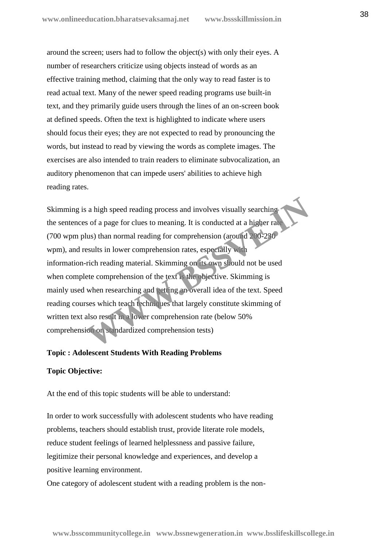around the screen; users had to follow the object(s) with only their eyes. A number of researchers criticize using objects instead of words as an effective training method, claiming that the only way to read faster is to read actual text. Many of the newer speed reading programs use built-in text, and they primarily guide users through the lines of an on-screen book at defined speeds. Often the text is highlighted to indicate where users should focus their eyes; they are not expected to read by pronouncing the words, but instead to read by viewing the words as complete images. The exercises are also intended to train readers to eliminate subvocalization, an auditory phenomenon that can impede users' abilities to achieve high reading rates.

Skimming is a high speed reading process and involves visually searching the sentences of a page for clues to meaning. It is conducted at a higher rate (700 wpm plus) than normal reading for comprehension (around 200-230 wpm), and results in lower comprehension rates, especially with information-rich reading material. Skimming on its own should not be used when complete comprehension of the text is the objective. Skimming is mainly used when researching and getting an overall idea of the text. Speed reading courses which teach techniques that largely constitute skimming of written text also result in a lower comprehension rate (below 50% comprehension on standardized comprehension tests) a high speed reading process and involves visually searching<br>s of a page for clues to meaning. It is conducted at a higher rat-<br>lus) than normal reading for comprehension (around 200-230<br>esults in lower comprehension rates

#### **Topic : Adolescent Students With Reading Problems**

#### **Topic Objective:**

At the end of this topic students will be able to understand:

 In order to work successfully with adolescent students who have reading problems, teachers should establish trust, provide literate role models, reduce student feelings of learned helplessness and passive failure, legitimize their personal knowledge and experiences, and develop a positive learning environment.

One category of adolescent student with a reading problem is the non-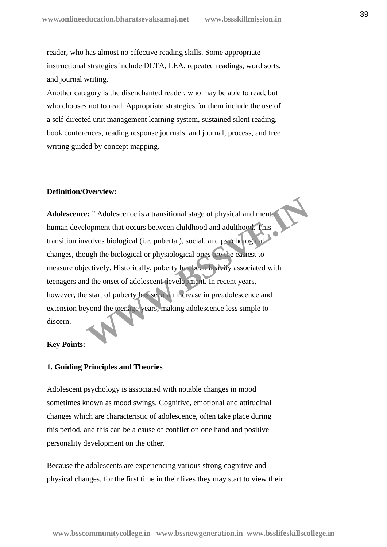reader, who has almost no effective reading skills. Some appropriate instructional strategies include DLTA, LEA, repeated readings, word sorts, and journal writing.

 Another category is the disenchanted reader, who may be able to read, but who chooses not to read. Appropriate strategies for them include the use of a self-directed unit management learning system, sustained silent reading, book conferences, reading response journals, and journal, process, and free writing guided by concept mapping.

#### **Definition/Overview:**

**Adolescence:** " Adolescence is a transitional stage of physical and mental human development that occurs between childhood and adulthood. This transition involves biological (i.e. pubertal), social, and psychological changes, though the biological or physiological ones are the easiest to measure objectively. Historically, puberty has been heavily associated with teenagers and the onset of adolescent development. In recent years, however, the start of puberty has seen an increase in preadolescence and extension beyond the teenage years, making adolescence less simple to discern. **Example 12**<br> **Example 12**<br> **Example 12**<br> **Example 12**<br> **Example 12**<br> **Example 12**<br> **Example 12**<br> **Example 12**<br> **Example 12**<br> **Example 12**<br> **Example 12**<br> **Example 12**<br> **Example 12**<br> **Example 12**<br> **Example 12**<br> **Example 12** 

# **Key Points:**

#### **1. Guiding Principles and Theories**

Adolescent psychology is associated with notable changes in mood sometimes known as mood swings. Cognitive, emotional and attitudinal changes which are characteristic of adolescence, often take place during this period, and this can be a cause of conflict on one hand and positive personality development on the other.

Because the adolescents are experiencing various strong cognitive and physical changes, for the first time in their lives they may start to view their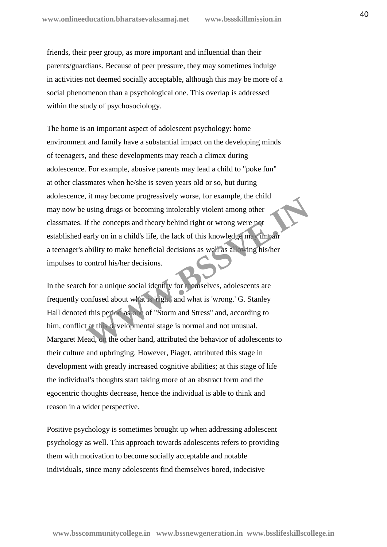friends, their peer group, as more important and influential than their parents/guardians. Because of peer pressure, they may sometimes indulge in activities not deemed socially acceptable, although this may be more of a social phenomenon than a psychological one. This overlap is addressed within the study of psychosociology.

The home is an important aspect of adolescent psychology: home environment and family have a substantial impact on the developing minds of teenagers, and these developments may reach a climax during adolescence. For example, abusive parents may lead a child to "poke fun" at other classmates when he/she is seven years old or so, but during adolescence, it may become progressively worse, for example, the child may now be using drugs or becoming intolerably violent among other classmates. If the concepts and theory behind right or wrong were not established early on in a child's life, the lack of this knowledge may impair a teenager's ability to make beneficial decisions as well as allowing his/her impulses to control his/her decisions. The time of the concepts and theory behind right or wrong were not<br>tif the concepts and theory behind right or wrong were not<br>arly on in a child's life, the lack of this knowledge may impair<br>ability to make beneficial deci

In the search for a unique social identity for themselves, adolescents are frequently confused about what is 'right' and what is 'wrong.' G. Stanley Hall denoted this period as one of "Storm and Stress" and, according to him, conflict at this developmental stage is normal and not unusual. Margaret Mead, on the other hand, attributed the behavior of adolescents to their culture and upbringing. However, Piaget, attributed this stage in development with greatly increased cognitive abilities; at this stage of life the individual's thoughts start taking more of an abstract form and the egocentric thoughts decrease, hence the individual is able to think and reason in a wider perspective.

Positive psychology is sometimes brought up when addressing adolescent psychology as well. This approach towards adolescents refers to providing them with motivation to become socially acceptable and notable individuals, since many adolescents find themselves bored, indecisive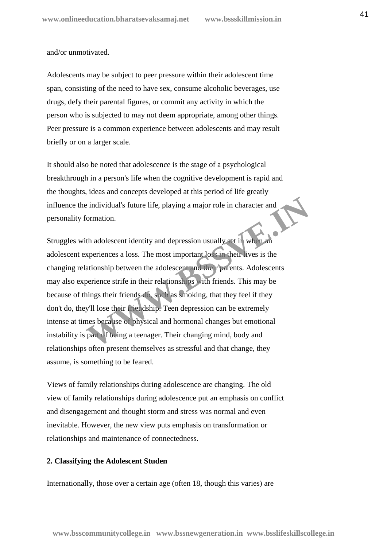and/or unmotivated.

Adolescents may be subject to peer pressure within their adolescent time span, consisting of the need to have sex, consume alcoholic beverages, use drugs, defy their parental figures, or commit any activity in which the person who is subjected to may not deem appropriate, among other things. Peer pressure is a common experience between adolescents and may result briefly or on a larger scale.

It should also be noted that adolescence is the stage of a psychological breakthrough in a person's life when the cognitive development is rapid and the thoughts, ideas and concepts developed at this period of life greatly influence the individual's future life, playing a major role in character and personality formation.

Struggles with adolescent identity and depression usually set in when an adolescent experiences a loss. The most important loss in their lives is the changing relationship between the adolescent and their parents. Adolescents may also experience strife in their relationships with friends. This may be because of things their friends do, such as smoking, that they feel if they don't do, they'll lose their friendship. Teen depression can be extremely intense at times because of physical and hormonal changes but emotional instability is part of being a teenager. Their changing mind, body and relationships often present themselves as stressful and that change, they assume, is something to be feared. Experiences a loss. The most important loss in their thanges of the present in the pressure of the adolescent identity and depression usually set in when an appreciences a loss. The most important loss in their lives is th

Views of family relationships during adolescence are changing. The old view of family relationships during adolescence put an emphasis on conflict and disengagement and thought storm and stress was normal and even inevitable. However, the new view puts emphasis on transformation or relationships and maintenance of connectedness.

#### **2. Classifying the Adolescent Studen**

Internationally, those over a certain age (often 18, though this varies) are

**www.bsscommunitycollege.in www.bssnewgeneration.in www.bsslifeskillscollege.in**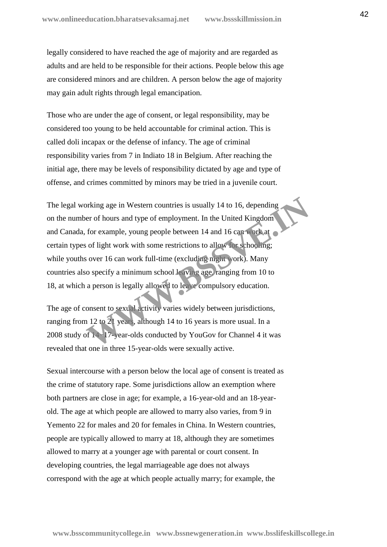legally considered to have reached the age of majority and are regarded as adults and are held to be responsible for their actions. People below this age are considered minors and are children. A person below the age of majority may gain adult rights through legal emancipation.

Those who are under the age of consent, or legal responsibility, may be considered too young to be held accountable for criminal action. This is called doli incapax or the defense of infancy. The age of criminal responsibility varies from 7 in Indiato 18 in Belgium. After reaching the initial age, there may be levels of responsibility dictated by age and type of offense, and crimes committed by minors may be tried in a juvenile court.

The legal working age in Western countries is usually 14 to 16, depending on the number of hours and type of employment. In the United Kingdom and Canada, for example, young people between 14 and 16 can work at certain types of light work with some restrictions to allow for schooling; while youths over 16 can work full-time (excluding night work). Many countries also specify a minimum school leaving age, ranging from 10 to 18, at which a person is legally allowed to leave compulsory education. by the digital state of the United Kingdom<br>
Service of hours and type of employment. In the United Kingdom<br>
for example, young people between 14 and 16 can work at<br>
solve 16 can work full-time (excluding might york). Many<br>

The age of consent to sexual activity varies widely between jurisdictions, ranging from 12 to 21 years, although 14 to 16 years is more usual. In a 2008 study of 14−17-year-olds conducted by YouGov for Channel 4 it was revealed that one in three 15-year-olds were sexually active.

Sexual intercourse with a person below the local age of consent is treated as the crime of statutory rape. Some jurisdictions allow an exemption where both partners are close in age; for example, a 16-year-old and an 18-year old. The age at which people are allowed to marry also varies, from 9 in Yemento 22 for males and 20 for females in China. In Western countries, people are typically allowed to marry at 18, although they are sometimes allowed to marry at a younger age with parental or court consent. In developing countries, the legal marriageable age does not always correspond with the age at which people actually marry; for example, the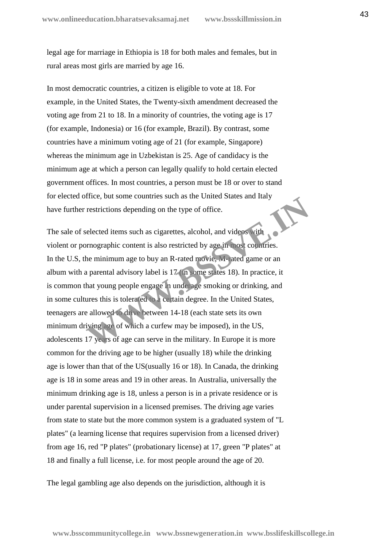legal age for marriage in Ethiopia is 18 for both males and females, but in rural areas most girls are married by age 16.

In most democratic countries, a citizen is eligible to vote at 18. For example, in the United States, the Twenty-sixth amendment decreased the voting age from 21 to 18. In a minority of countries, the voting age is 17 (for example, Indonesia) or 16 (for example, Brazil). By contrast, some countries have a minimum voting age of 21 (for example, Singapore) whereas the minimum age in Uzbekistan is 25. Age of candidacy is the minimum age at which a person can legally qualify to hold certain elected government offices. In most countries, a person must be 18 or over to stand for elected office, but some countries such as the United States and Italy have further restrictions depending on the type of office.

The sale of selected items such as cigarettes, alcohol, and videos with violent or pornographic content is also restricted by age in most countries. In the U.S, the minimum age to buy an R-rated movie, M-rated game or an album with a parental advisory label is 17 (in some states 18). In practice, it is common that young people engage in underage smoking or drinking, and in some cultures this is tolerated to a certain degree. In the United States, teenagers are allowed to drive between 14-18 (each state sets its own minimum driving age of which a curfew may be imposed), in the US, adolescents 17 years of age can serve in the military. In Europe it is more common for the driving age to be higher (usually 18) while the drinking age is lower than that of the US(usually 16 or 18). In Canada, the drinking age is 18 in some areas and 19 in other areas. In Australia, universally the minimum drinking age is 18, unless a person is in a private residence or is under parental supervision in a licensed premises. The driving age varies from state to state but the more common system is a graduated system of "L plates" (a learning license that requires supervision from a licensed driver) from age 16, red "P plates" (probationary license) at 17, green "P plates" at 18 and finally a full license, i.e. for most people around the age of 20. Treatively out some countries such as the office.<br> **We detected items such as cigarettes**, alcohol, and videos with<br> **We detected items such as cigarettes**, alcohol, and videos with<br> **We minimum age to buy an R-rated provi** 

The legal gambling age also depends on the jurisdiction, although it is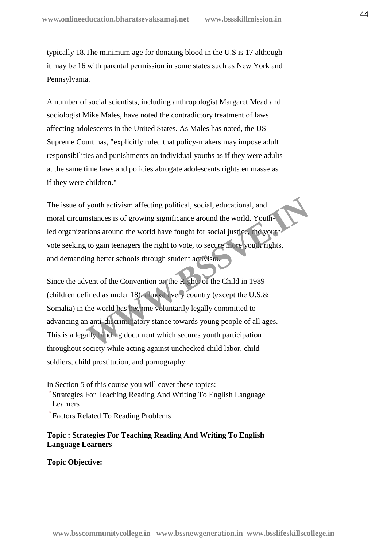typically 18.The minimum age for donating blood in the U.S is 17 although it may be 16 with parental permission in some states such as New York and Pennsylvania.

A number of social scientists, including anthropologist Margaret Mead and sociologist Mike Males, have noted the contradictory treatment of laws affecting adolescents in the United States. As Males has noted, the US Supreme Court has, "explicitly ruled that policy-makers may impose adult responsibilities and punishments on individual youths as if they were adults at the same time laws and policies abrogate adolescents rights en masse as if they were children."

The issue of youth activism affecting political, social, educational, and moral circumstances is of growing significance around the world. Youthled organizations around the world have fought for social justice, the youth vote seeking to gain teenagers the right to vote, to secure more youth rights, and demanding better schools through student activism.

Since the advent of the Convention on the Rights of the Child in 1989 (children defined as under 18), almost every country (except the U.S.& Somalia) in the world has become voluntarily legally committed to advancing an anti-discriminatory stance towards young people of all ages. This is a legally binding document which secures youth participation throughout society while acting against unchecked child labor, child soldiers, child prostitution, and pornography. youth activism affecting political, social, educational, and<br>
Instances is of growing significance around the world. Youth-<br>
tions around the world have fought for social justice, the youth-<br>
to gain teenagers the right to

In Section 5 of this course you will cover these topics: Strategies For Teaching Reading And Writing To English Language Learners

Factors Related To Reading Problems

# **Topic : Strategies For Teaching Reading And Writing To English Language Learners**

**Topic Objective:**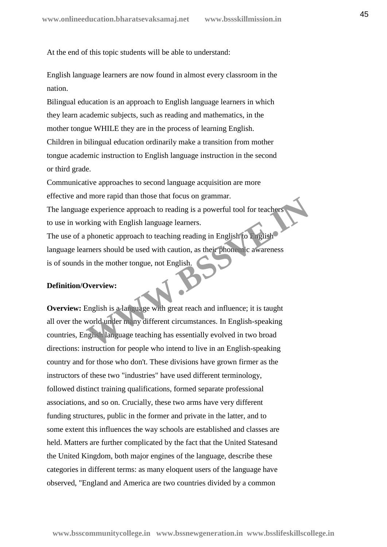At the end of this topic students will be able to understand:

 English language learners are now found in almost every classroom in the nation.

 Bilingual education is an approach to English language learners in which they learn academic subjects, such as reading and mathematics, in the mother tongue WHILE they are in the process of learning English. Children in bilingual education ordinarily make a transition from mother tongue academic instruction to English language instruction in the second or third grade.

 Communicative approaches to second language acquisition are more effective and more rapid than those that focus on grammar. The language experience approach to reading is a powerful tool for teachers to use in working with English language learners. The use of a phonetic approach to teaching reading in English to English The represented to reading is a powerful tool for teachers<br>
rking with English language learners.<br>
phonetic approach to teaching reading in English to Piglish<br>
rners should be used with caution, as their phonemic awareness

language learners should be used with caution, as their phonemic awareness is of sounds in the mother tongue, not English.

#### **Definition/Overview:**

**Overview:** English is a language with great reach and influence; it is taught all over the world under many different circumstances. In English-speaking countries, English language teaching has essentially evolved in two broad directions: instruction for people who intend to live in an English-speaking country and for those who don't. These divisions have grown firmer as the instructors of these two "industries" have used different terminology, followed distinct training qualifications, formed separate professional associations, and so on. Crucially, these two arms have very different funding structures, public in the former and private in the latter, and to some extent this influences the way schools are established and classes are held. Matters are further complicated by the fact that the United Statesand the United Kingdom, both major engines of the language, describe these categories in different terms: as many eloquent users of the language have observed, "England and America are two countries divided by a common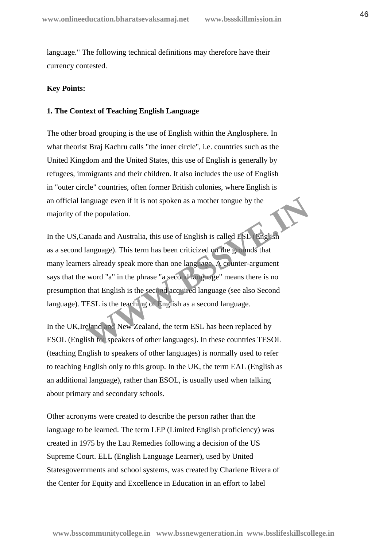language." The following technical definitions may therefore have their currency contested.

# **Key Points:**

# **1. The Context of Teaching English Language**

The other broad grouping is the use of English within the Anglosphere. In what theorist Braj Kachru calls "the inner circle", i.e. countries such as the United Kingdom and the United States, this use of English is generally by refugees, immigrants and their children. It also includes the use of English in "outer circle" countries, often former British colonies, where English is an official language even if it is not spoken as a mother tongue by the majority of the population.

In the US,Canada and Australia, this use of English is called ESL (English as a second language). This term has been criticized on the grounds that many learners already speak more than one language. A counter-argument says that the word "a" in the phrase "a second language" means there is no presumption that English is the second acquired language (see also Second language). TESL is the teaching of English as a second language. mguage even if it is not spoken as a mother tongue by the<br>
the population.<br>
Inada and Australia, this use of English is called ESL English<br>
language). This term has been criticized on the grounds that<br>
Is already speak mor

In the UK,Ireland and New Zealand, the term ESL has been replaced by ESOL (English for speakers of other languages). In these countries TESOL (teaching English to speakers of other languages) is normally used to refer to teaching English only to this group. In the UK, the term EAL (English as an additional language), rather than ESOL, is usually used when talking about primary and secondary schools.

Other acronyms were created to describe the person rather than the language to be learned. The term LEP (Limited English proficiency) was created in 1975 by the Lau Remedies following a decision of the US Supreme Court. ELL (English Language Learner), used by United Statesgovernments and school systems, was created by Charlene Rivera of the Center for Equity and Excellence in Education in an effort to label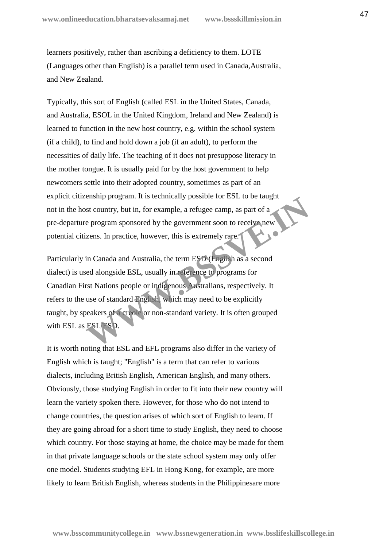learners positively, rather than ascribing a deficiency to them. LOTE (Languages other than English) is a parallel term used in Canada,Australia, and New Zealand.

Typically, this sort of English (called ESL in the United States, Canada, and Australia, ESOL in the United Kingdom, Ireland and New Zealand) is learned to function in the new host country, e.g. within the school system (if a child), to find and hold down a job (if an adult), to perform the necessities of daily life. The teaching of it does not presuppose literacy in the mother tongue. It is usually paid for by the host government to help newcomers settle into their adopted country, sometimes as part of an explicit citizenship program. It is technically possible for ESL to be taught not in the host country, but in, for example, a refugee camp, as part of a pre-departure program sponsored by the government soon to receive new potential citizens. In practice, however, this is extremely rare.

Particularly in Canada and Australia, the term ESD (English as a second dialect) is used alongside ESL, usually in reference to programs for Canadian First Nations people or indigenous Australians, respectively. It refers to the use of standard English, which may need to be explicitly taught, by speakers of a creole or non-standard variety. It is often grouped with ESL as ESL/ESD. Easing program. It is technically possible for ESE to be talght<br>at country, but in, for example, a refugee camp, as part of a<br>e program sponsored by the government soon to receive new<br>zens. In practice, however, this is ex

It is worth noting that ESL and EFL programs also differ in the variety of English which is taught; "English" is a term that can refer to various dialects, including British English, American English, and many others. Obviously, those studying English in order to fit into their new country will learn the variety spoken there. However, for those who do not intend to change countries, the question arises of which sort of English to learn. If they are going abroad for a short time to study English, they need to choose which country. For those staying at home, the choice may be made for them in that private language schools or the state school system may only offer one model. Students studying EFL in Hong Kong, for example, are more likely to learn British English, whereas students in the Philippinesare more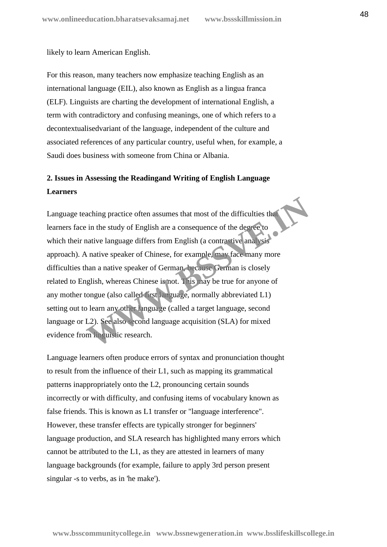likely to learn American English.

For this reason, many teachers now emphasize teaching English as an international language (EIL), also known as English as a lingua franca (ELF). Linguists are charting the development of international English, a term with contradictory and confusing meanings, one of which refers to a decontextualisedvariant of the language, independent of the culture and associated references of any particular country, useful when, for example, a Saudi does business with someone from China or Albania.

# **2. Issues in Assessing the Readingand Writing of English Language Learners**

Language teaching practice often assumes that most of the difficulties that learners face in the study of English are a consequence of the degree to which their native language differs from English (a contrastive analysis approach). A native speaker of Chinese, for example, may face many more difficulties than a native speaker of German, because German is closely related to English, whereas Chinese is not. This may be true for anyone of any mother tongue (also called first language, normally abbreviated L1) setting out to learn any other language (called a target language, second language or L2). See also second language acquisition (SLA) for mixed evidence from linguistic research. aching practice often assumes that most of the difficulties the<br>in the study of English are a consequence of the degree to<br>native language differs from English (a contra five analysis<br>native speaker of Chinese, for example

Language learners often produce errors of syntax and pronunciation thought to result from the influence of their L1, such as mapping its grammatical patterns inappropriately onto the L2, pronouncing certain sounds incorrectly or with difficulty, and confusing items of vocabulary known as false friends. This is known as L1 transfer or "language interference". However, these transfer effects are typically stronger for beginners' language production, and SLA research has highlighted many errors which cannot be attributed to the L1, as they are attested in learners of many language backgrounds (for example, failure to apply 3rd person present singular -s to verbs, as in 'he make').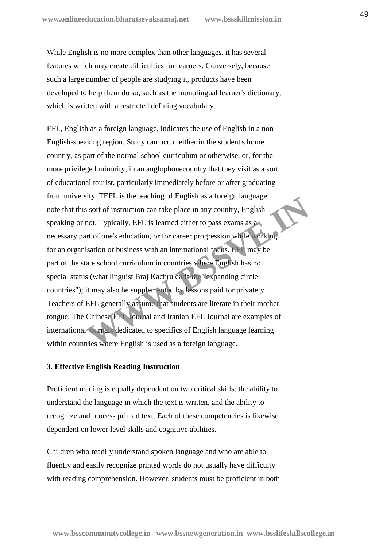While English is no more complex than other languages, it has several features which may create difficulties for learners. Conversely, because such a large number of people are studying it, products have been developed to help them do so, such as the monolingual learner's dictionary, which is written with a restricted defining vocabulary.

EFL, English as a foreign language, indicates the use of English in a non- English-speaking region. Study can occur either in the student's home country, as part of the normal school curriculum or otherwise, or, for the more privileged minority, in an anglophonecountry that they visit as a sort of educational tourist, particularly immediately before or after graduating from university. TEFL is the teaching of English as a foreign language; note that this sort of instruction can take place in any country, English speaking or not. Typically, EFL is learned either to pass exams as a necessary part of one's education, or for career progression while working for an organisation or business with an international focus. EFL may be part of the state school curriculum in countries where English has no special status (what linguist Braj Kachru calls the "expanding circle countries"); it may also be supplemented by lessons paid for privately. Teachers of EFL generally assume that students are literate in their mother tongue. The Chinese EFL Journal and Iranian EFL Journal are examples of international journals dedicated to specifics of English language learning within countries where English is used as a foreign language. **EXECT IS THE UP IN THE UP IN THE UP IN THE UP IN THE UP IN THE UP IN THE UP IN THE UP IN THE UP IS SERVED IN THE UP IN THE UP IS SERVED IN THE UP IS SERVED IS UP IN THE UP IS SERVED IS UP IN THE UP IS SERVED IN THE UP IS** 

# **3. Effective English Reading Instruction**

Proficient reading is equally dependent on two critical skills: the ability to understand the language in which the text is written, and the ability to recognize and process printed text. Each of these competencies is likewise dependent on lower level skills and cognitive abilities.

Children who readily understand spoken language and who are able to fluently and easily recognize printed words do not usually have difficulty with reading comprehension. However, students must be proficient in both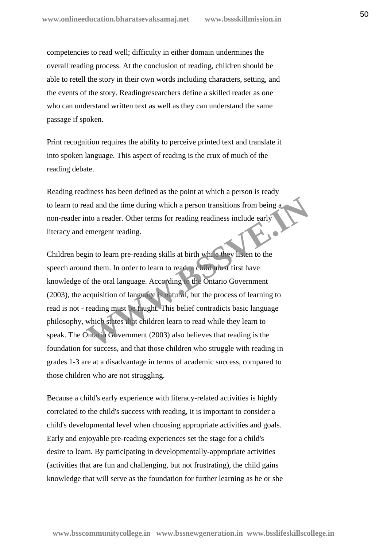competencies to read well; difficulty in either domain undermines the overall reading process. At the conclusion of reading, children should be able to retell the story in their own words including characters, setting, and the events of the story. Readingresearchers define a skilled reader as one who can understand written text as well as they can understand the same passage if spoken.

Print recognition requires the ability to perceive printed text and translate it into spoken language. This aspect of reading is the crux of much of the reading debate.

Reading readiness has been defined as the point at which a person is ready to learn to read and the time during which a person transitions from being a non-reader into a reader. Other terms for reading readiness include early literacy and emergent reading.

Children begin to learn pre-reading skills at birth while they listen to the speech around them. In order to learn to read, a child must first have knowledge of the oral language. According to the Ontario Government (2003), the acquisition of language is natural, but the process of learning to read is not - reading must be taught. This belief contradicts basic language philosophy, which states that children learn to read while they learn to speak. The Ontario Government (2003) also believes that reading is the foundation for success, and that those children who struggle with reading in grades 1-3 are at a disadvantage in terms of academic success, compared to those children who are not struggling. ad and the time during which a person transitions from being a<br>tho a reader. Other terms for reading readiness include early<br>emergent reading.<br>gin to learn pre-reading skills at birth while they listen to the<br>d them. In or

Because a child's early experience with literacy-related activities is highly correlated to the child's success with reading, it is important to consider a child's developmental level when choosing appropriate activities and goals. Early and enjoyable pre-reading experiences set the stage for a child's desire to learn. By participating in developmentally-appropriate activities (activities that are fun and challenging, but not frustrating), the child gains knowledge that will serve as the foundation for further learning as he or she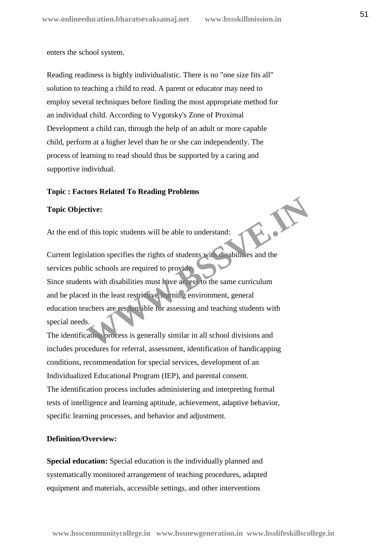enters the school system.

Reading readiness is highly individualistic. There is no "one size fits all" solution to teaching a child to read. A parent or educator may need to employ several techniques before finding the most appropriate method for an individual child. According to Vygotsky's Zone of Proximal Development a child can, through the help of an adult or more capable child, perform at a higher level than he or she can independently. The process of learning to read should thus be supported by a caring and supportive individual.

# **Topic : Factors Related To Reading Problems**

#### **Topic Objective:**

At the end of this topic students will be able to understand:

 Current legislation specifies the rights of students with disabilities and the services public schools are required to provide. Since students with disabilities must have access to the same curriculum and be placed in the least restrictive learning environment, general education teachers are responsible for assessing and teaching students with special needs. The Students will be able to understand:<br>
Slation specifies the rights of students with disabilities and the<br>
lic schools are required to provide<br>
tts with disabilities must have access to the same curriculum<br>
d in the lea

 The identification process is generally similar in all school divisions and includes procedures for referral, assessment, identification of handicapping conditions, recommendation for special services, development of an Individualized Educational Program (IEP), and parental consent. The identification process includes administering and interpreting formal tests of intelligence and learning aptitude, achievement, adaptive behavior, specific learning processes, and behavior and adjustment.

# **Definition/Overview:**

**Special education:** Special education is the individually planned and systematically monitored arrangement of teaching procedures, adapted equipment and materials, accessible settings, and other interventions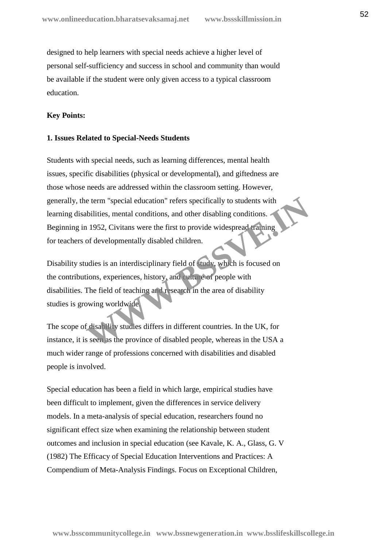designed to help learners with special needs achieve a higher level of personal self-sufficiency and success in school and community than would be available if the student were only given access to a typical classroom education.

# **Key Points:**

# **1. Issues Related to Special-Needs Students**

Students with special needs, such as learning differences, mental health issues, specific disabilities (physical or developmental), and giftedness are those whose needs are addressed within the classroom setting. However, generally, the term "special education" refers specifically to students with learning disabilities, mental conditions, and other disabling conditions. Beginning in 1952, Civitans were the first to provide widespread training for teachers of developmentally disabled children. e term "special education" refers specifically to students with<br>bilities, mental conditions, and other disabling conditions.<br>1952, Civitans were the first to provide widespread raining<br>of developmentally disabled children.

Disability studies is an interdisciplinary field of study, which is focused on the contributions, experiences, history, and culture of people with disabilities. The field of teaching and research in the area of disability studies is growing worldwide.

The scope of disability studies differs in different countries. In the UK, for instance, it is seen as the province of disabled people, whereas in the USA a much wider range of professions concerned with disabilities and disabled people is involved.

Special education has been a field in which large, empirical studies have been difficult to implement, given the differences in service delivery models. In a meta-analysis of special education, researchers found no significant effect size when examining the relationship between student outcomes and inclusion in special education (see Kavale, K. A., Glass, G. V (1982) The Efficacy of Special Education Interventions and Practices: A Compendium of Meta-Analysis Findings. Focus on Exceptional Children,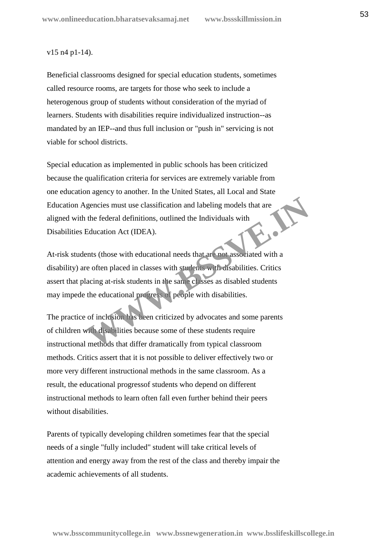#### v15 n4 p1-14).

Beneficial classrooms designed for special education students, sometimes called resource rooms, are targets for those who seek to include a heterogenous group of students without consideration of the myriad of learners. Students with disabilities require individualized instruction--as mandated by an IEP--and thus full inclusion or "push in" servicing is not viable for school districts.

Special education as implemented in public schools has been criticized because the qualification criteria for services are extremely variable from one education agency to another. In the United States, all Local and State Education Agencies must use classification and labeling models that are aligned with the federal definitions, outlined the Individuals with Disabilities Education Act (IDEA).

At-risk students (those with educational needs that are not associated with a disability) are often placed in classes with students with disabilities. Critics assert that placing at-risk students in the same classes as disabled students may impede the educational progress of people with disabilities. gencies must use classification and labeling models that are<br>the federal definitions, outlined the Individuals with<br>Education Act (IDEA).<br>ents (those with educational needs that are not associated with a<br>re often placed in

The practice of inclusion has been criticized by advocates and some parents of children with disabilities because some of these students require instructional methods that differ dramatically from typical classroom methods. Critics assert that it is not possible to deliver effectively two or more very different instructional methods in the same classroom. As a result, the educational progressof students who depend on different instructional methods to learn often fall even further behind their peers without disabilities.

Parents of typically developing children sometimes fear that the special needs of a single "fully included" student will take critical levels of attention and energy away from the rest of the class and thereby impair the academic achievements of all students.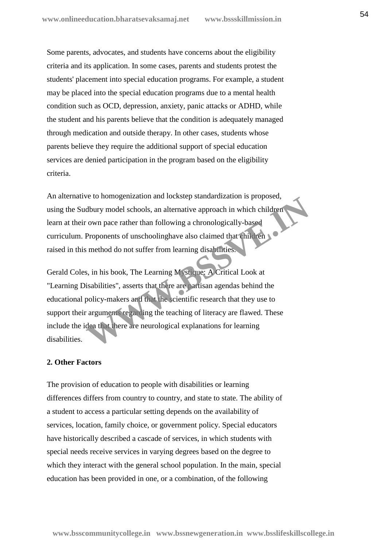Some parents, advocates, and students have concerns about the eligibility criteria and its application. In some cases, parents and students protest the students' placement into special education programs. For example, a student may be placed into the special education programs due to a mental health condition such as OCD, depression, anxiety, panic attacks or ADHD, while the student and his parents believe that the condition is adequately managed through medication and outside therapy. In other cases, students whose parents believe they require the additional support of special education services are denied participation in the program based on the eligibility criteria.

An alternative to homogenization and lockstep standardization is proposed, using the Sudbury model schools, an alternative approach in which children learn at their own pace rather than following a chronologically-based curriculum. Proponents of unschoolinghave also claimed that children raised in this method do not suffer from learning disabilities.

Gerald Coles, in his book, The Learning Mystique: A Critical Look at "Learning Disabilities", asserts that there are partisan agendas behind the educational policy-makers and that the scientific research that they use to support their arguments regarding the teaching of literacy are flawed. These include the idea that there are neurological explanations for learning disabilities. The complement of the scientific research in which children<br>
The complex complex complex complex complements of unschooling<br> **Proponents** of unschooling a chronologically-based<br> **Proponents** of unschooling have also claime

# **2. Other Factors**

The provision of education to people with disabilities or learning differences differs from country to country, and state to state. The ability of a student to access a particular setting depends on the availability of services, location, family choice, or government policy. Special educators have historically described a cascade of services, in which students with special needs receive services in varying degrees based on the degree to which they interact with the general school population. In the main, special education has been provided in one, or a combination, of the following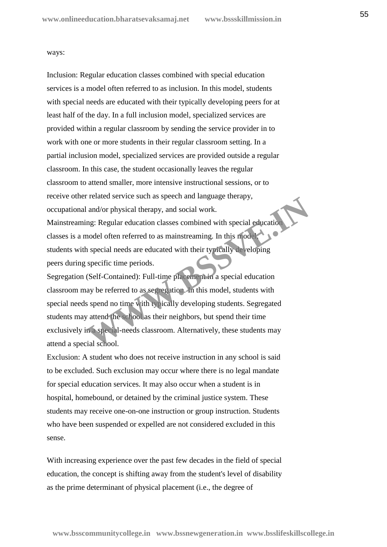#### ways:

 Inclusion: Regular education classes combined with special education services is a model often referred to as inclusion. In this model, students with special needs are educated with their typically developing peers for at least half of the day. In a full inclusion model, specialized services are provided within a regular classroom by sending the service provider in to work with one or more students in their regular classroom setting. In a partial inclusion model, specialized services are provided outside a regular classroom. In this case, the student occasionally leaves the regular classroom to attend smaller, more intensive instructional sessions, or to receive other related service such as speech and language therapy, occupational and/or physical therapy, and social work.

 Mainstreaming: Regular education classes combined with special education classes is a model often referred to as mainstreaming. In this model, students with special needs are educated with their typically developing peers during specific time periods.

 Segregation (Self-Contained): Full-time placement in a special education classroom may be referred to as segregation. In this model, students with special needs spend no time with typically developing students. Segregated students may attend the school as their neighbors, but spend their time exclusively in a special-needs classroom. Alternatively, these students may attend a special school. Franced service such as speech and language therapy,<br>and/or physical therapy, and social work.<br>mg: Regular education classes combined with special education<br>model often referred to as mainstreaming. In this model<br>is pecifi

 Exclusion: A student who does not receive instruction in any school is said to be excluded. Such exclusion may occur where there is no legal mandate for special education services. It may also occur when a student is in hospital, homebound, or detained by the criminal justice system. These students may receive one-on-one instruction or group instruction. Students who have been suspended or expelled are not considered excluded in this sense.

With increasing experience over the past few decades in the field of special education, the concept is shifting away from the student's level of disability as the prime determinant of physical placement (i.e., the degree of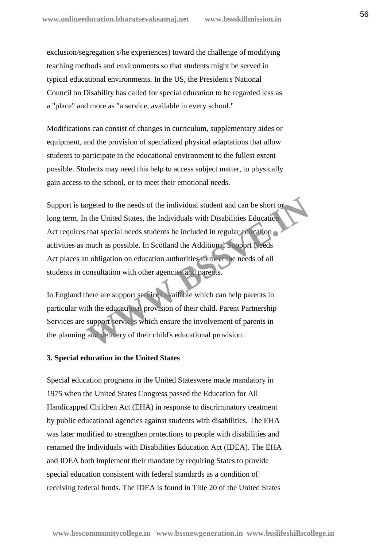exclusion/segregation s/he experiences) toward the challenge of modifying teaching methods and environments so that students might be served in typical educational environments. In the US, the President's National Council on Disability has called for special education to be regarded less as a "place" and more as "a service, available in every school."

Modifications can consist of changes in curriculum, supplementary aides or equipment, and the provision of specialized physical adaptations that allow students to participate in the educational environment to the fullest extent possible. Students may need this help to access subject matter, to physically gain access to the school, or to meet their emotional needs.

Support is targeted to the needs of the individual student and can be short or long term. In the United States, the Individuals with Disabilities Education Act requires that special needs students be included in regular education activities as much as possible. In Scotland the Additional Support Needs Act places an obligation on education authorities to meet the needs of all students in consultation with other agencies and parents. rgeted to the needs of the individual student and can be short or<br>the United States, the Individuals with Disabilities Education<br>that special needs students be included in regular education<br>much as possible. In Scotland th

In England there are support services available which can help parents in particular with the educational provision of their child. Parent Partnership Services are support services which ensure the involvement of parents in the planning and delivery of their child's educational provision.

# **3. Special education in the United States**

Special education programs in the United Stateswere made mandatory in 1975 when the United States Congress passed the Education for All Handicapped Children Act (EHA) in response to discriminatory treatment by public educational agencies against students with disabilities. The EHA was later modified to strengthen protections to people with disabilities and renamed the Individuals with Disabilities Education Act (IDEA). The EHA and IDEA both implement their mandate by requiring States to provide special education consistent with federal standards as a condition of receiving federal funds. The IDEA is found in Title 20 of the United States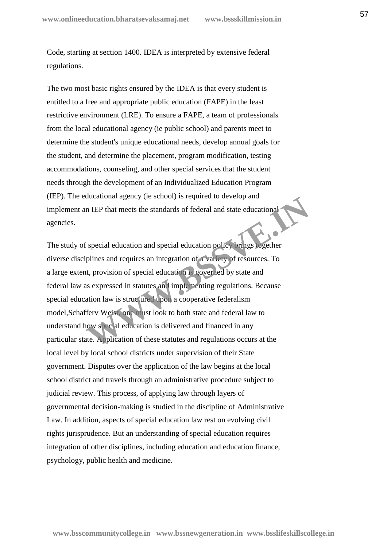Code, starting at section 1400. IDEA is interpreted by extensive federal regulations.

The two most basic rights ensured by the IDEA is that every student is entitled to a free and appropriate public education (FAPE) in the least restrictive environment (LRE). To ensure a FAPE, a team of professionals from the local educational agency (ie public school) and parents meet to determine the student's unique educational needs, develop annual goals for the student, and determine the placement, program modification, testing accommodations, counseling, and other special services that the student needs through the development of an Individualized Education Program (IEP). The educational agency (ie school) is required to develop and implement an IEP that meets the standards of federal and state educational agencies.

The study of special education and special education policy brings together diverse disciplines and requires an integration of a variety of resources. To a large extent, provision of special education is governed by state and federal law as expressed in statutes and implementing regulations. Because special education law is structured upon a cooperative federalism model,Schafferv Weist, one must look to both state and federal law to understand how special education is delivered and financed in any particular state. Application of these statutes and regulations occurs at the local level by local school districts under supervision of their State government. Disputes over the application of the law begins at the local school district and travels through an administrative procedure subject to judicial review. This process, of applying law through layers of governmental decision-making is studied in the discipline of Administrative Law. In addition, aspects of special education law rest on evolving civil rights jurisprudence. But an understanding of special education requires integration of other disciplines, including education and education finance, psychology, public health and medicine. IF THE PHAT meets the standards of federal and state educational<br>
IF THE PHAT meets the standards of federal and state educational<br>
IF Special education and special education policy trings logether<br>
plines and requires an